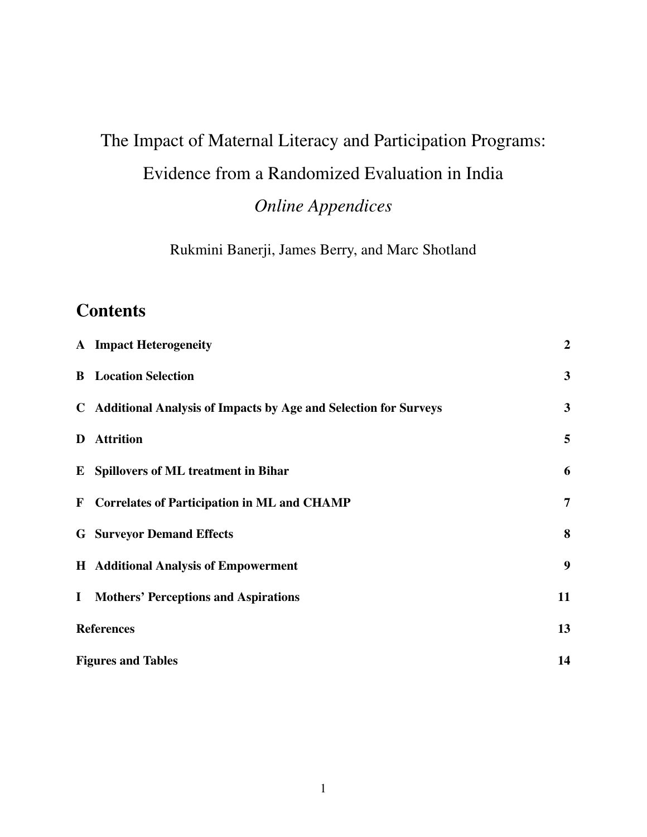# The Impact of Maternal Literacy and Participation Programs: Evidence from a Randomized Evaluation in India *Online Appendices*

Rukmini Banerji, James Berry, and Marc Shotland

## **Contents**

|              | <b>A</b> Impact Heterogeneity                                     | $\boldsymbol{2}$ |
|--------------|-------------------------------------------------------------------|------------------|
|              | <b>B</b> Location Selection                                       | $\overline{3}$   |
|              | C Additional Analysis of Impacts by Age and Selection for Surveys | $\mathbf{3}$     |
| D            | <b>Attrition</b>                                                  | 5                |
|              | <b>E</b> Spillovers of ML treatment in Bihar                      | 6                |
|              | F Correlates of Participation in ML and CHAMP                     | $\overline{7}$   |
|              | <b>G</b> Surveyor Demand Effects                                  | 8                |
|              | <b>H</b> Additional Analysis of Empowerment                       | 9                |
| $\mathbf{I}$ | <b>Mothers' Perceptions and Aspirations</b>                       | 11               |
|              | <b>References</b>                                                 | 13               |
|              | <b>Figures and Tables</b>                                         | 14               |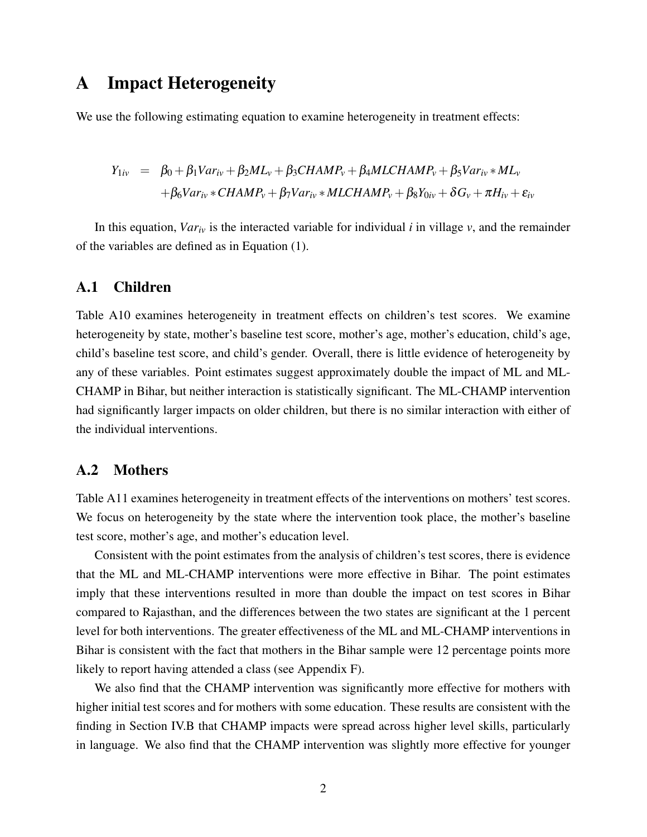## <span id="page-1-0"></span>A Impact Heterogeneity

We use the following estimating equation to examine heterogeneity in treatment effects:

$$
Y_{1iv} = \beta_0 + \beta_1 Var_{iv} + \beta_2 ML_v + \beta_3 CHAMP_v + \beta_4 MLCHAMP_v + \beta_5 Var_{iv} * ML_v
$$
  
+  $\beta_6 Var_{iv} * CHAMP_v + \beta_7 Var_{iv} * MLCHAMP_v + \beta_8 Y_{0iv} + \delta G_v + \pi H_{iv} + \varepsilon_{iv}$ 

In this equation,  $Var_{iv}$  is the interacted variable for individual *i* in village *v*, and the remainder of the variables are defined as in Equation (1).

#### A.1 Children

Table A10 examines heterogeneity in treatment effects on children's test scores. We examine heterogeneity by state, mother's baseline test score, mother's age, mother's education, child's age, child's baseline test score, and child's gender. Overall, there is little evidence of heterogeneity by any of these variables. Point estimates suggest approximately double the impact of ML and ML-CHAMP in Bihar, but neither interaction is statistically significant. The ML-CHAMP intervention had significantly larger impacts on older children, but there is no similar interaction with either of the individual interventions.

#### A.2 Mothers

Table A11 examines heterogeneity in treatment effects of the interventions on mothers' test scores. We focus on heterogeneity by the state where the intervention took place, the mother's baseline test score, mother's age, and mother's education level.

Consistent with the point estimates from the analysis of children's test scores, there is evidence that the ML and ML-CHAMP interventions were more effective in Bihar. The point estimates imply that these interventions resulted in more than double the impact on test scores in Bihar compared to Rajasthan, and the differences between the two states are significant at the 1 percent level for both interventions. The greater effectiveness of the ML and ML-CHAMP interventions in Bihar is consistent with the fact that mothers in the Bihar sample were 12 percentage points more likely to report having attended a class (see Appendix F).

We also find that the CHAMP intervention was significantly more effective for mothers with higher initial test scores and for mothers with some education. These results are consistent with the finding in Section IV.B that CHAMP impacts were spread across higher level skills, particularly in language. We also find that the CHAMP intervention was slightly more effective for younger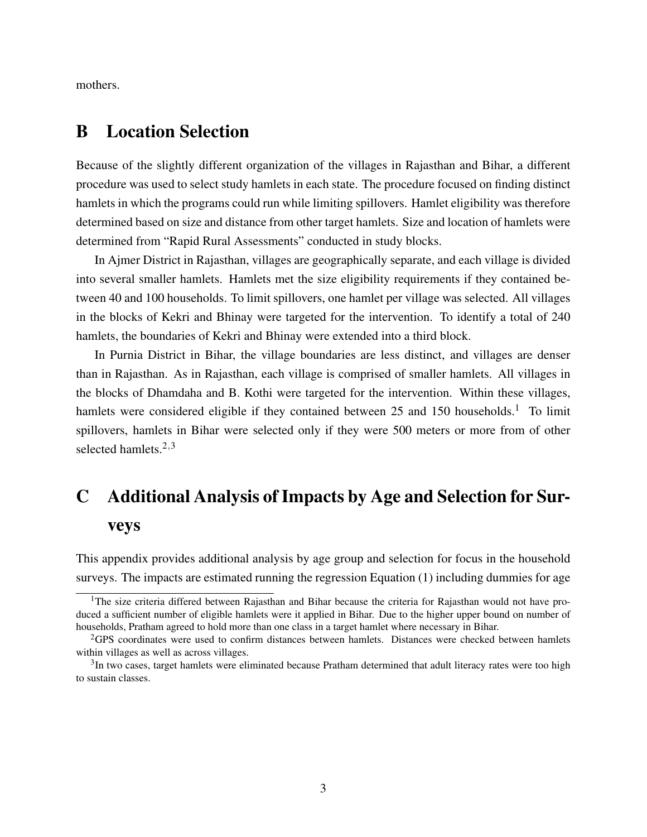mothers.

## <span id="page-2-0"></span>B Location Selection

Because of the slightly different organization of the villages in Rajasthan and Bihar, a different procedure was used to select study hamlets in each state. The procedure focused on finding distinct hamlets in which the programs could run while limiting spillovers. Hamlet eligibility was therefore determined based on size and distance from other target hamlets. Size and location of hamlets were determined from "Rapid Rural Assessments" conducted in study blocks.

In Ajmer District in Rajasthan, villages are geographically separate, and each village is divided into several smaller hamlets. Hamlets met the size eligibility requirements if they contained between 40 and 100 households. To limit spillovers, one hamlet per village was selected. All villages in the blocks of Kekri and Bhinay were targeted for the intervention. To identify a total of 240 hamlets, the boundaries of Kekri and Bhinay were extended into a third block.

In Purnia District in Bihar, the village boundaries are less distinct, and villages are denser than in Rajasthan. As in Rajasthan, each village is comprised of smaller hamlets. All villages in the blocks of Dhamdaha and B. Kothi were targeted for the intervention. Within these villages, hamlets were considered eligible if they contained between 25 and [1](#page-2-2)50 households.<sup>1</sup> To limit spillovers, hamlets in Bihar were selected only if they were 500 meters or more from of other selected hamlets. $2,3$  $2,3$  $2,3$ 

## <span id="page-2-1"></span>C Additional Analysis of Impacts by Age and Selection for Surveys

This appendix provides additional analysis by age group and selection for focus in the household surveys. The impacts are estimated running the regression Equation (1) including dummies for age

<span id="page-2-2"></span> $1$ The size criteria differed between Rajasthan and Bihar because the criteria for Rajasthan would not have produced a sufficient number of eligible hamlets were it applied in Bihar. Due to the higher upper bound on number of households, Pratham agreed to hold more than one class in a target hamlet where necessary in Bihar.

<span id="page-2-3"></span><sup>2</sup>GPS coordinates were used to confirm distances between hamlets. Distances were checked between hamlets within villages as well as across villages.

<span id="page-2-4"></span> $3$ In two cases, target hamlets were eliminated because Pratham determined that adult literacy rates were too high to sustain classes.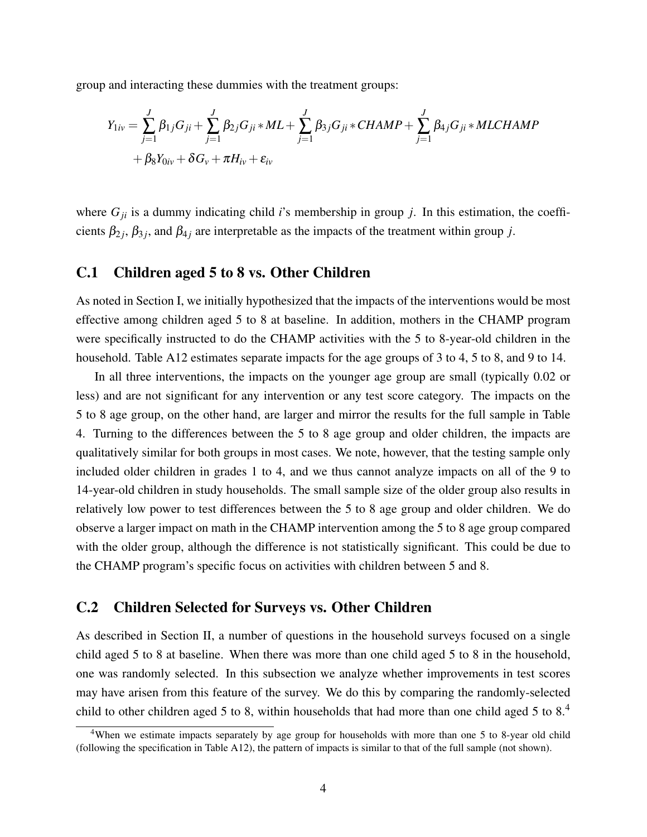group and interacting these dummies with the treatment groups:

$$
Y_{1iv} = \sum_{j=1}^{J} \beta_{1j} G_{ji} + \sum_{j=1}^{J} \beta_{2j} G_{ji} * ML + \sum_{j=1}^{J} \beta_{3j} G_{ji} * CHAMP + \sum_{j=1}^{J} \beta_{4j} G_{ji} * MLCHAMP + \beta_{8} Y_{0iv} + \delta G_{v} + \pi H_{iv} + \varepsilon_{iv}
$$

where  $G_{ji}$  is a dummy indicating child *i*'s membership in group *j*. In this estimation, the coefficients  $\beta_{2j}$ ,  $\beta_{3j}$ , and  $\beta_{4j}$  are interpretable as the impacts of the treatment within group *j*.

#### C.1 Children aged 5 to 8 vs. Other Children

As noted in Section I, we initially hypothesized that the impacts of the interventions would be most effective among children aged 5 to 8 at baseline. In addition, mothers in the CHAMP program were specifically instructed to do the CHAMP activities with the 5 to 8-year-old children in the household. Table A12 estimates separate impacts for the age groups of 3 to 4, 5 to 8, and 9 to 14.

In all three interventions, the impacts on the younger age group are small (typically 0.02 or less) and are not significant for any intervention or any test score category. The impacts on the 5 to 8 age group, on the other hand, are larger and mirror the results for the full sample in Table 4. Turning to the differences between the 5 to 8 age group and older children, the impacts are qualitatively similar for both groups in most cases. We note, however, that the testing sample only included older children in grades 1 to 4, and we thus cannot analyze impacts on all of the 9 to 14-year-old children in study households. The small sample size of the older group also results in relatively low power to test differences between the 5 to 8 age group and older children. We do observe a larger impact on math in the CHAMP intervention among the 5 to 8 age group compared with the older group, although the difference is not statistically significant. This could be due to the CHAMP program's specific focus on activities with children between 5 and 8.

#### C.2 Children Selected for Surveys vs. Other Children

As described in Section II, a number of questions in the household surveys focused on a single child aged 5 to 8 at baseline. When there was more than one child aged 5 to 8 in the household, one was randomly selected. In this subsection we analyze whether improvements in test scores may have arisen from this feature of the survey. We do this by comparing the randomly-selected child to other children aged 5 to 8, within households that had more than one child aged 5 to 8.<sup>[4](#page-3-0)</sup>

<span id="page-3-0"></span><sup>&</sup>lt;sup>4</sup>When we estimate impacts separately by age group for households with more than one 5 to 8-year old child (following the specification in Table A12), the pattern of impacts is similar to that of the full sample (not shown).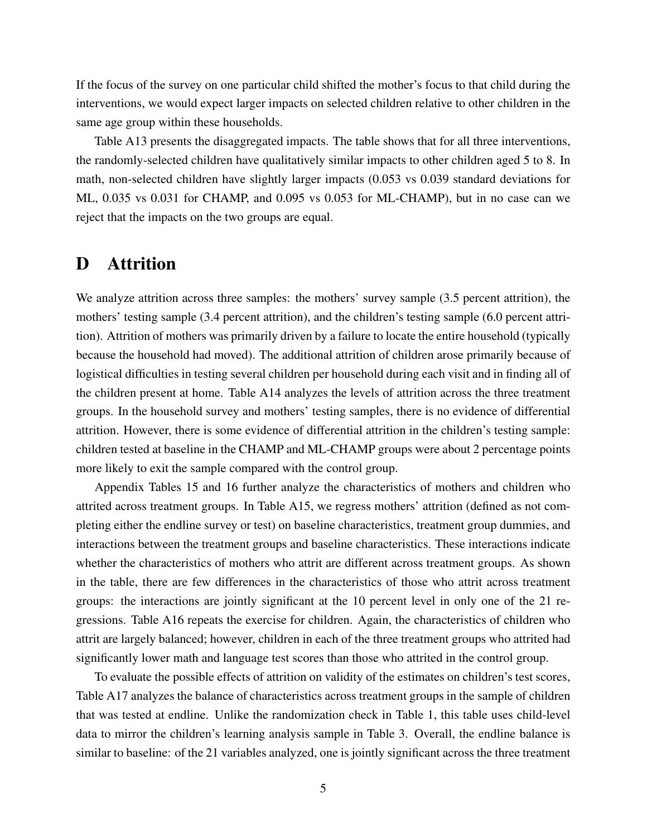If the focus of the survey on one particular child shifted the mother's focus to that child during the interventions, we would expect larger impacts on selected children relative to other children in the same age group within these households.

Table A13 presents the disaggregated impacts. The table shows that for all three interventions, the randomly-selected children have qualitatively similar impacts to other children aged 5 to 8. In math, non-selected children have slightly larger impacts (0.053 vs 0.039 standard deviations for ML, 0.035 vs 0.031 for CHAMP, and 0.095 vs 0.053 for ML-CHAMP), but in no case can we reject that the impacts on the two groups are equal.

## <span id="page-4-0"></span>D Attrition

We analyze attrition across three samples: the mothers' survey sample  $(3.5)$  percent attrition), the mothers' testing sample (3.4 percent attrition), and the children's testing sample (6.0 percent attrition). Attrition of mothers was primarily driven by a failure to locate the entire household (typically because the household had moved). The additional attrition of children arose primarily because of logistical difficulties in testing several children per household during each visit and in finding all of the children present at home. Table A14 analyzes the levels of attrition across the three treatment groups. In the household survey and mothers' testing samples, there is no evidence of differential attrition. However, there is some evidence of differential attrition in the children's testing sample: children tested at baseline in the CHAMP and ML-CHAMP groups were about 2 percentage points more likely to exit the sample compared with the control group.

Appendix Tables 15 and 16 further analyze the characteristics of mothers and children who attrited across treatment groups. In Table A15, we regress mothers' attrition (defined as not completing either the endline survey or test) on baseline characteristics, treatment group dummies, and interactions between the treatment groups and baseline characteristics. These interactions indicate whether the characteristics of mothers who attrit are different across treatment groups. As shown in the table, there are few differences in the characteristics of those who attrit across treatment groups: the interactions are jointly significant at the 10 percent level in only one of the 21 regressions. Table A16 repeats the exercise for children. Again, the characteristics of children who attrit are largely balanced; however, children in each of the three treatment groups who attrited had significantly lower math and language test scores than those who attrited in the control group.

To evaluate the possible effects of attrition on validity of the estimates on children's test scores, Table A17 analyzes the balance of characteristics across treatment groups in the sample of children that was tested at endline. Unlike the randomization check in Table 1, this table uses child-level data to mirror the children's learning analysis sample in Table 3. Overall, the endline balance is similar to baseline: of the 21 variables analyzed, one is jointly significant across the three treatment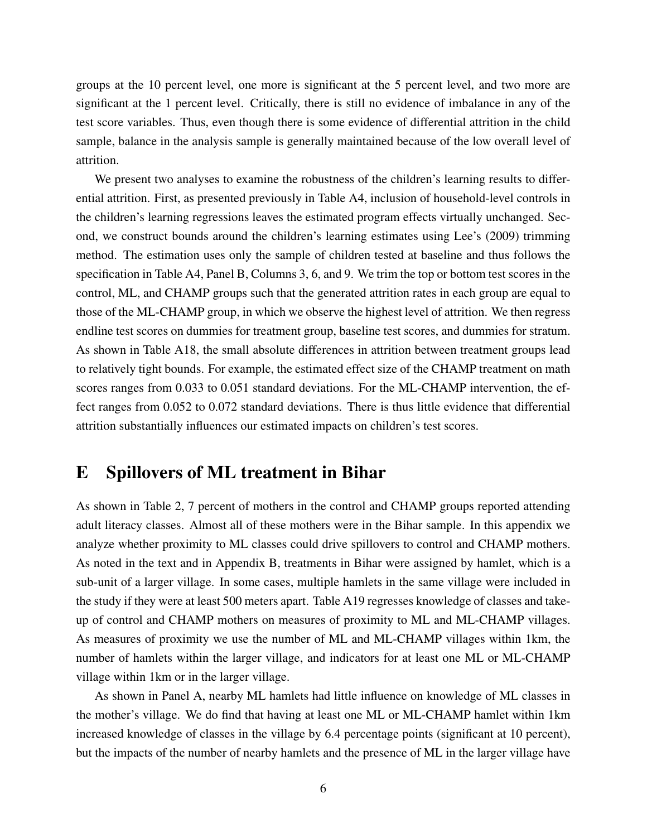groups at the 10 percent level, one more is significant at the 5 percent level, and two more are significant at the 1 percent level. Critically, there is still no evidence of imbalance in any of the test score variables. Thus, even though there is some evidence of differential attrition in the child sample, balance in the analysis sample is generally maintained because of the low overall level of attrition.

We present two analyses to examine the robustness of the children's learning results to differential attrition. First, as presented previously in Table A4, inclusion of household-level controls in the children's learning regressions leaves the estimated program effects virtually unchanged. Second, we construct bounds around the children's learning estimates using Lee's (2009) trimming method. The estimation uses only the sample of children tested at baseline and thus follows the specification in Table A4, Panel B, Columns 3, 6, and 9. We trim the top or bottom test scores in the control, ML, and CHAMP groups such that the generated attrition rates in each group are equal to those of the ML-CHAMP group, in which we observe the highest level of attrition. We then regress endline test scores on dummies for treatment group, baseline test scores, and dummies for stratum. As shown in Table A18, the small absolute differences in attrition between treatment groups lead to relatively tight bounds. For example, the estimated effect size of the CHAMP treatment on math scores ranges from 0.033 to 0.051 standard deviations. For the ML-CHAMP intervention, the effect ranges from 0.052 to 0.072 standard deviations. There is thus little evidence that differential attrition substantially influences our estimated impacts on children's test scores.

## <span id="page-5-0"></span>E Spillovers of ML treatment in Bihar

As shown in Table 2, 7 percent of mothers in the control and CHAMP groups reported attending adult literacy classes. Almost all of these mothers were in the Bihar sample. In this appendix we analyze whether proximity to ML classes could drive spillovers to control and CHAMP mothers. As noted in the text and in Appendix B, treatments in Bihar were assigned by hamlet, which is a sub-unit of a larger village. In some cases, multiple hamlets in the same village were included in the study if they were at least 500 meters apart. Table A19 regresses knowledge of classes and takeup of control and CHAMP mothers on measures of proximity to ML and ML-CHAMP villages. As measures of proximity we use the number of ML and ML-CHAMP villages within 1km, the number of hamlets within the larger village, and indicators for at least one ML or ML-CHAMP village within 1km or in the larger village.

As shown in Panel A, nearby ML hamlets had little influence on knowledge of ML classes in the mother's village. We do find that having at least one ML or ML-CHAMP hamlet within 1km increased knowledge of classes in the village by 6.4 percentage points (significant at 10 percent), but the impacts of the number of nearby hamlets and the presence of ML in the larger village have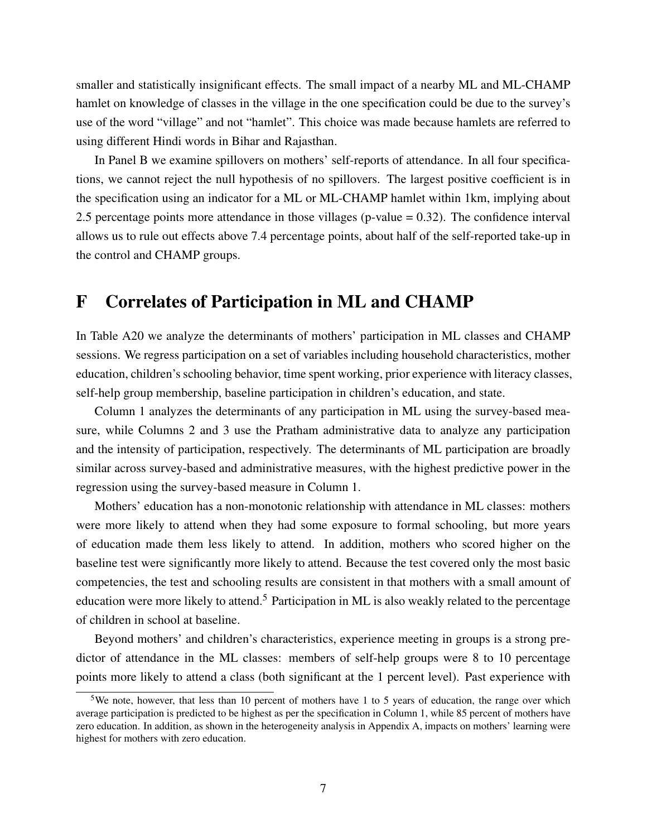smaller and statistically insignificant effects. The small impact of a nearby ML and ML-CHAMP hamlet on knowledge of classes in the village in the one specification could be due to the survey's use of the word "village" and not "hamlet". This choice was made because hamlets are referred to using different Hindi words in Bihar and Rajasthan.

In Panel B we examine spillovers on mothers' self-reports of attendance. In all four specifications, we cannot reject the null hypothesis of no spillovers. The largest positive coefficient is in the specification using an indicator for a ML or ML-CHAMP hamlet within 1km, implying about 2.5 percentage points more attendance in those villages (p-value  $= 0.32$ ). The confidence interval allows us to rule out effects above 7.4 percentage points, about half of the self-reported take-up in the control and CHAMP groups.

### <span id="page-6-0"></span>F Correlates of Participation in ML and CHAMP

In Table A20 we analyze the determinants of mothers' participation in ML classes and CHAMP sessions. We regress participation on a set of variables including household characteristics, mother education, children's schooling behavior, time spent working, prior experience with literacy classes, self-help group membership, baseline participation in children's education, and state.

Column 1 analyzes the determinants of any participation in ML using the survey-based measure, while Columns 2 and 3 use the Pratham administrative data to analyze any participation and the intensity of participation, respectively. The determinants of ML participation are broadly similar across survey-based and administrative measures, with the highest predictive power in the regression using the survey-based measure in Column 1.

Mothers' education has a non-monotonic relationship with attendance in ML classes: mothers were more likely to attend when they had some exposure to formal schooling, but more years of education made them less likely to attend. In addition, mothers who scored higher on the baseline test were significantly more likely to attend. Because the test covered only the most basic competencies, the test and schooling results are consistent in that mothers with a small amount of education were more likely to attend.<sup>[5](#page-6-1)</sup> Participation in ML is also weakly related to the percentage of children in school at baseline.

Beyond mothers' and children's characteristics, experience meeting in groups is a strong predictor of attendance in the ML classes: members of self-help groups were 8 to 10 percentage points more likely to attend a class (both significant at the 1 percent level). Past experience with

<span id="page-6-1"></span><sup>&</sup>lt;sup>5</sup>We note, however, that less than 10 percent of mothers have 1 to 5 years of education, the range over which average participation is predicted to be highest as per the specification in Column 1, while 85 percent of mothers have zero education. In addition, as shown in the heterogeneity analysis in Appendix A, impacts on mothers' learning were highest for mothers with zero education.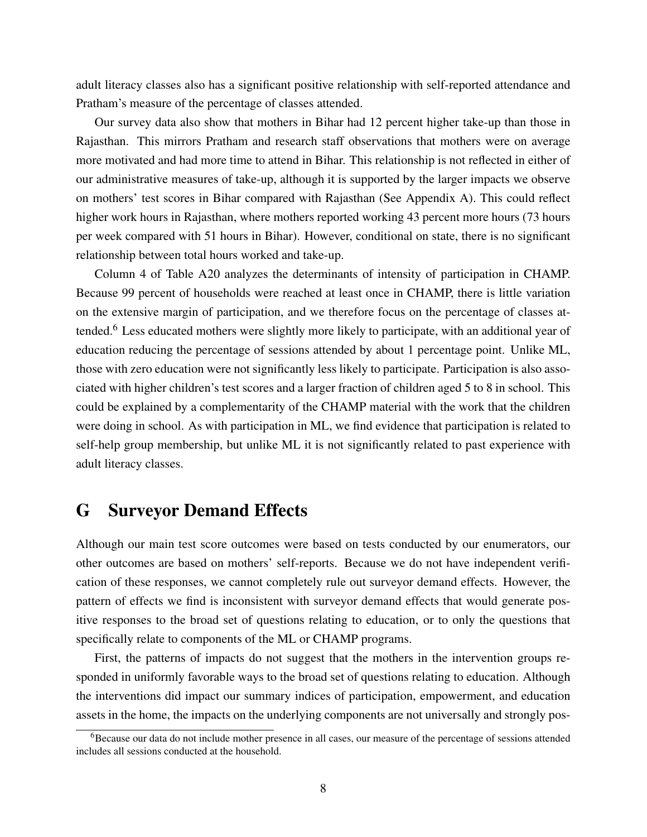adult literacy classes also has a significant positive relationship with self-reported attendance and Pratham's measure of the percentage of classes attended.

Our survey data also show that mothers in Bihar had 12 percent higher take-up than those in Rajasthan. This mirrors Pratham and research staff observations that mothers were on average more motivated and had more time to attend in Bihar. This relationship is not reflected in either of our administrative measures of take-up, although it is supported by the larger impacts we observe on mothers' test scores in Bihar compared with Rajasthan (See Appendix A). This could reflect higher work hours in Rajasthan, where mothers reported working 43 percent more hours (73 hours per week compared with 51 hours in Bihar). However, conditional on state, there is no significant relationship between total hours worked and take-up.

Column 4 of Table A20 analyzes the determinants of intensity of participation in CHAMP. Because 99 percent of households were reached at least once in CHAMP, there is little variation on the extensive margin of participation, and we therefore focus on the percentage of classes attended.[6](#page-7-1) Less educated mothers were slightly more likely to participate, with an additional year of education reducing the percentage of sessions attended by about 1 percentage point. Unlike ML, those with zero education were not significantly less likely to participate. Participation is also associated with higher children's test scores and a larger fraction of children aged 5 to 8 in school. This could be explained by a complementarity of the CHAMP material with the work that the children were doing in school. As with participation in ML, we find evidence that participation is related to self-help group membership, but unlike ML it is not significantly related to past experience with adult literacy classes.

## <span id="page-7-0"></span>G Surveyor Demand Effects

Although our main test score outcomes were based on tests conducted by our enumerators, our other outcomes are based on mothers' self-reports. Because we do not have independent verification of these responses, we cannot completely rule out surveyor demand effects. However, the pattern of effects we find is inconsistent with surveyor demand effects that would generate positive responses to the broad set of questions relating to education, or to only the questions that specifically relate to components of the ML or CHAMP programs.

First, the patterns of impacts do not suggest that the mothers in the intervention groups responded in uniformly favorable ways to the broad set of questions relating to education. Although the interventions did impact our summary indices of participation, empowerment, and education assets in the home, the impacts on the underlying components are not universally and strongly pos-

<span id="page-7-1"></span><sup>&</sup>lt;sup>6</sup>Because our data do not include mother presence in all cases, our measure of the percentage of sessions attended includes all sessions conducted at the household.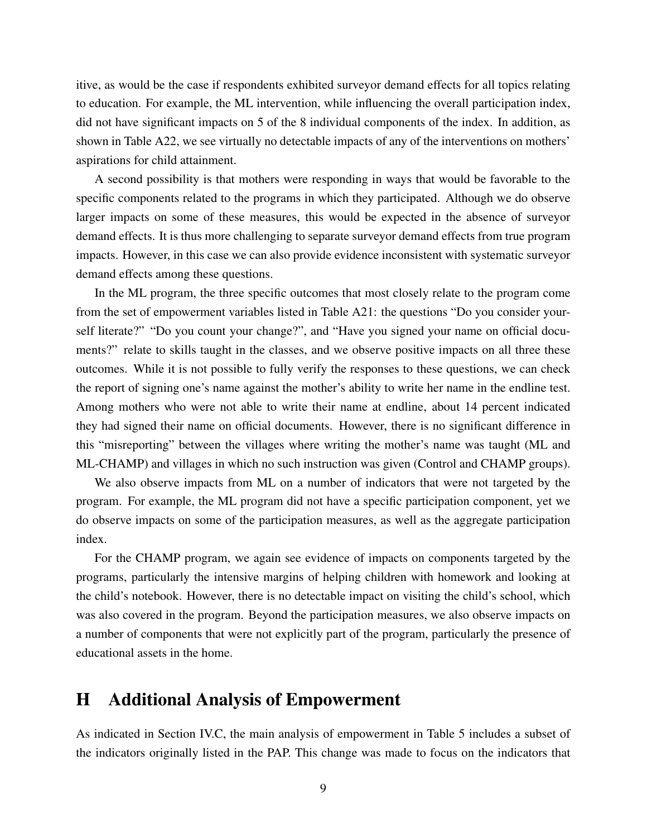itive, as would be the case if respondents exhibited surveyor demand effects for all topics relating to education. For example, the ML intervention, while influencing the overall participation index, did not have significant impacts on 5 of the 8 individual components of the index. In addition, as shown in Table A22, we see virtually no detectable impacts of any of the interventions on mothers' aspirations for child attainment.

A second possibility is that mothers were responding in ways that would be favorable to the specific components related to the programs in which they participated. Although we do observe larger impacts on some of these measures, this would be expected in the absence of surveyor demand effects. It is thus more challenging to separate surveyor demand effects from true program impacts. However, in this case we can also provide evidence inconsistent with systematic surveyor demand effects among these questions.

In the ML program, the three specific outcomes that most closely relate to the program come from the set of empowerment variables listed in Table A21: the questions "Do you consider yourself literate?" "Do you count your change?", and "Have you signed your name on official documents?" relate to skills taught in the classes, and we observe positive impacts on all three these outcomes. While it is not possible to fully verify the responses to these questions, we can check the report of signing one's name against the mother's ability to write her name in the endline test. Among mothers who were not able to write their name at endline, about 14 percent indicated they had signed their name on official documents. However, there is no significant difference in this "misreporting" between the villages where writing the mother's name was taught (ML and ML-CHAMP) and villages in which no such instruction was given (Control and CHAMP groups).

We also observe impacts from ML on a number of indicators that were not targeted by the program. For example, the ML program did not have a specific participation component, yet we do observe impacts on some of the participation measures, as well as the aggregate participation index.

For the CHAMP program, we again see evidence of impacts on components targeted by the programs, particularly the intensive margins of helping children with homework and looking at the child's notebook. However, there is no detectable impact on visiting the child's school, which was also covered in the program. Beyond the participation measures, we also observe impacts on a number of components that were not explicitly part of the program, particularly the presence of educational assets in the home.

## <span id="page-8-0"></span>H Additional Analysis of Empowerment

As indicated in Section IV.C, the main analysis of empowerment in Table 5 includes a subset of the indicators originally listed in the PAP. This change was made to focus on the indicators that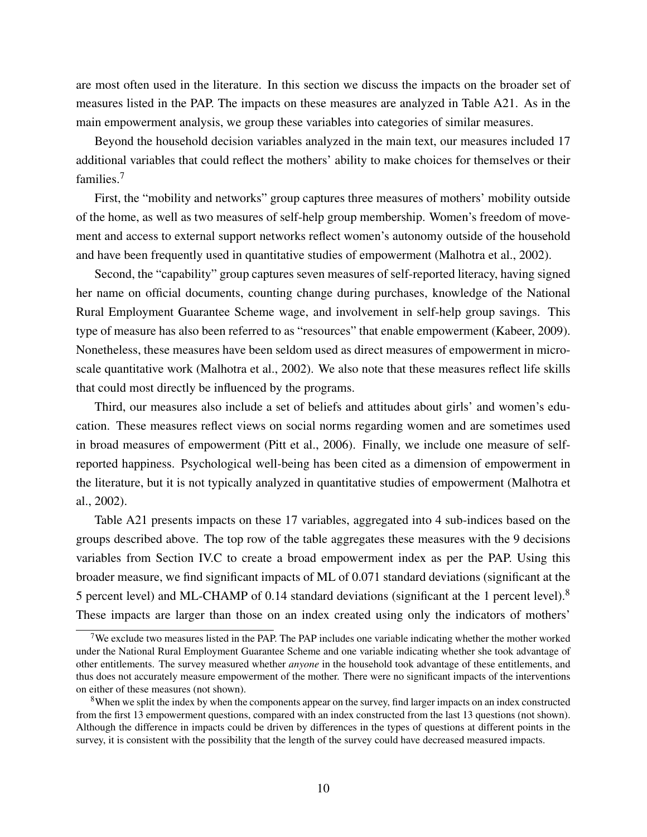are most often used in the literature. In this section we discuss the impacts on the broader set of measures listed in the PAP. The impacts on these measures are analyzed in Table A21. As in the main empowerment analysis, we group these variables into categories of similar measures.

Beyond the household decision variables analyzed in the main text, our measures included 17 additional variables that could reflect the mothers' ability to make choices for themselves or their families.[7](#page-9-0)

First, the "mobility and networks" group captures three measures of mothers' mobility outside of the home, as well as two measures of self-help group membership. Women's freedom of movement and access to external support networks reflect women's autonomy outside of the household and have been frequently used in quantitative studies of empowerment (Malhotra et al., 2002).

Second, the "capability" group captures seven measures of self-reported literacy, having signed her name on official documents, counting change during purchases, knowledge of the National Rural Employment Guarantee Scheme wage, and involvement in self-help group savings. This type of measure has also been referred to as "resources" that enable empowerment (Kabeer, 2009). Nonetheless, these measures have been seldom used as direct measures of empowerment in microscale quantitative work (Malhotra et al., 2002). We also note that these measures reflect life skills that could most directly be influenced by the programs.

Third, our measures also include a set of beliefs and attitudes about girls' and women's education. These measures reflect views on social norms regarding women and are sometimes used in broad measures of empowerment (Pitt et al., 2006). Finally, we include one measure of selfreported happiness. Psychological well-being has been cited as a dimension of empowerment in the literature, but it is not typically analyzed in quantitative studies of empowerment (Malhotra et al., 2002).

Table A21 presents impacts on these 17 variables, aggregated into 4 sub-indices based on the groups described above. The top row of the table aggregates these measures with the 9 decisions variables from Section IV.C to create a broad empowerment index as per the PAP. Using this broader measure, we find significant impacts of ML of 0.071 standard deviations (significant at the 5 percent level) and ML-CHAMP of 0.14 standard deviations (significant at the 1 percent level).<sup>[8](#page-9-1)</sup> These impacts are larger than those on an index created using only the indicators of mothers'

<span id="page-9-0"></span><sup>&</sup>lt;sup>7</sup>We exclude two measures listed in the PAP. The PAP includes one variable indicating whether the mother worked under the National Rural Employment Guarantee Scheme and one variable indicating whether she took advantage of other entitlements. The survey measured whether *anyone* in the household took advantage of these entitlements, and thus does not accurately measure empowerment of the mother. There were no significant impacts of the interventions on either of these measures (not shown).

<span id="page-9-1"></span><sup>&</sup>lt;sup>8</sup>When we split the index by when the components appear on the survey, find larger impacts on an index constructed from the first 13 empowerment questions, compared with an index constructed from the last 13 questions (not shown). Although the difference in impacts could be driven by differences in the types of questions at different points in the survey, it is consistent with the possibility that the length of the survey could have decreased measured impacts.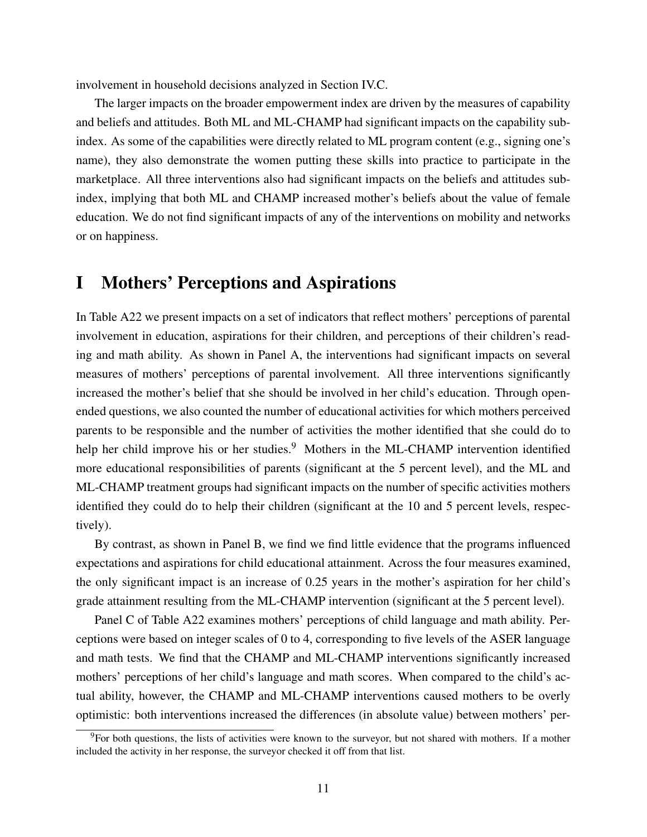involvement in household decisions analyzed in Section IV.C.

The larger impacts on the broader empowerment index are driven by the measures of capability and beliefs and attitudes. Both ML and ML-CHAMP had significant impacts on the capability subindex. As some of the capabilities were directly related to ML program content (e.g., signing one's name), they also demonstrate the women putting these skills into practice to participate in the marketplace. All three interventions also had significant impacts on the beliefs and attitudes subindex, implying that both ML and CHAMP increased mother's beliefs about the value of female education. We do not find significant impacts of any of the interventions on mobility and networks or on happiness.

## <span id="page-10-0"></span>I Mothers' Perceptions and Aspirations

In Table A22 we present impacts on a set of indicators that reflect mothers' perceptions of parental involvement in education, aspirations for their children, and perceptions of their children's reading and math ability. As shown in Panel A, the interventions had significant impacts on several measures of mothers' perceptions of parental involvement. All three interventions significantly increased the mother's belief that she should be involved in her child's education. Through openended questions, we also counted the number of educational activities for which mothers perceived parents to be responsible and the number of activities the mother identified that she could do to help her child improve his or her studies.<sup>[9](#page-10-1)</sup> Mothers in the ML-CHAMP intervention identified more educational responsibilities of parents (significant at the 5 percent level), and the ML and ML-CHAMP treatment groups had significant impacts on the number of specific activities mothers identified they could do to help their children (significant at the 10 and 5 percent levels, respectively).

By contrast, as shown in Panel B, we find we find little evidence that the programs influenced expectations and aspirations for child educational attainment. Across the four measures examined, the only significant impact is an increase of 0.25 years in the mother's aspiration for her child's grade attainment resulting from the ML-CHAMP intervention (significant at the 5 percent level).

Panel C of Table A22 examines mothers' perceptions of child language and math ability. Perceptions were based on integer scales of 0 to 4, corresponding to five levels of the ASER language and math tests. We find that the CHAMP and ML-CHAMP interventions significantly increased mothers' perceptions of her child's language and math scores. When compared to the child's actual ability, however, the CHAMP and ML-CHAMP interventions caused mothers to be overly optimistic: both interventions increased the differences (in absolute value) between mothers' per-

<span id="page-10-1"></span><sup>&</sup>lt;sup>9</sup>For both questions, the lists of activities were known to the surveyor, but not shared with mothers. If a mother included the activity in her response, the surveyor checked it off from that list.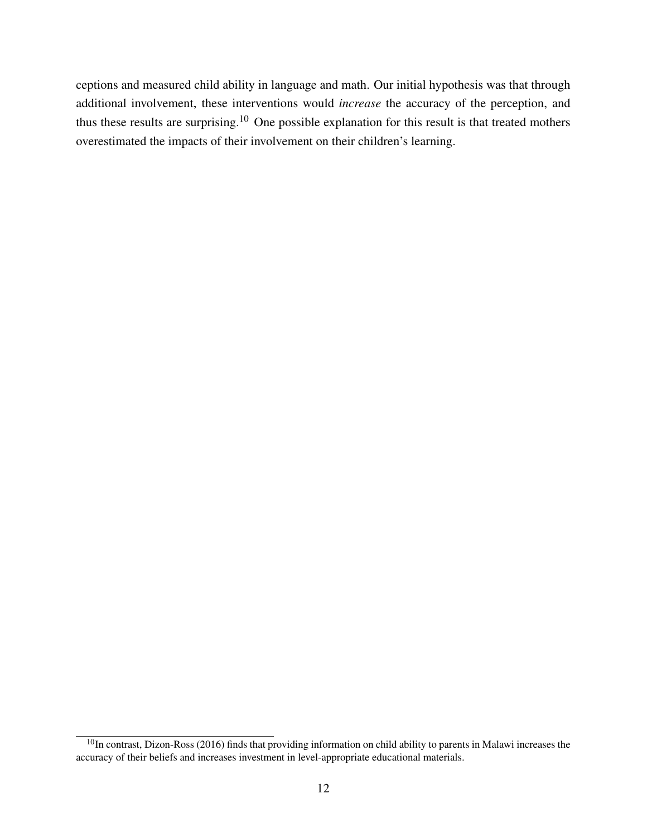ceptions and measured child ability in language and math. Our initial hypothesis was that through additional involvement, these interventions would *increase* the accuracy of the perception, and thus these results are surprising.[10](#page-11-0) One possible explanation for this result is that treated mothers overestimated the impacts of their involvement on their children's learning.

<span id="page-11-0"></span><sup>&</sup>lt;sup>10</sup>In contrast, Dizon-Ross (2016) finds that providing information on child ability to parents in Malawi increases the accuracy of their beliefs and increases investment in level-appropriate educational materials.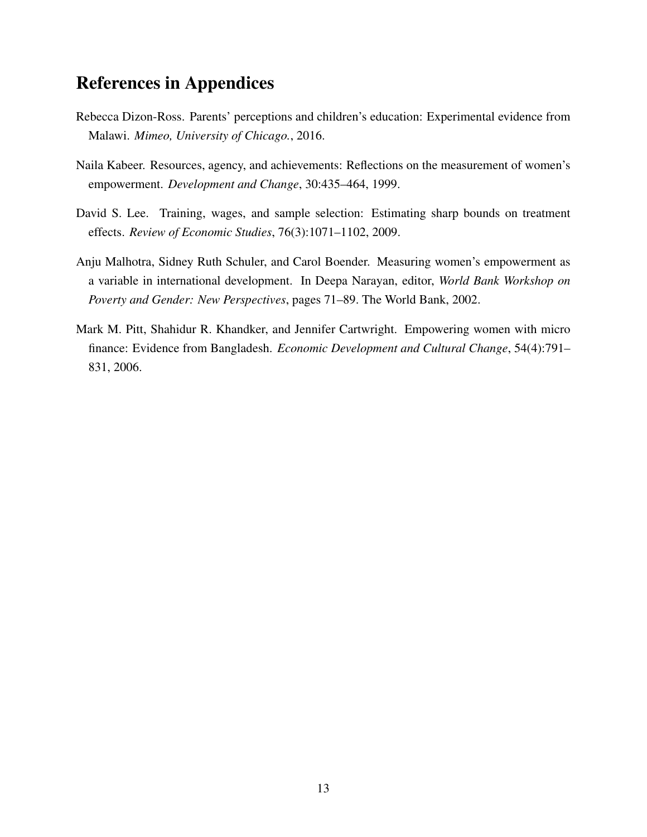## <span id="page-12-0"></span>References in Appendices

- Rebecca Dizon-Ross. Parents' perceptions and children's education: Experimental evidence from Malawi. *Mimeo, University of Chicago.*, 2016.
- Naila Kabeer. Resources, agency, and achievements: Reflections on the measurement of women's empowerment. *Development and Change*, 30:435–464, 1999.
- David S. Lee. Training, wages, and sample selection: Estimating sharp bounds on treatment effects. *Review of Economic Studies*, 76(3):1071–1102, 2009.
- Anju Malhotra, Sidney Ruth Schuler, and Carol Boender. Measuring women's empowerment as a variable in international development. In Deepa Narayan, editor, *World Bank Workshop on Poverty and Gender: New Perspectives*, pages 71–89. The World Bank, 2002.
- Mark M. Pitt, Shahidur R. Khandker, and Jennifer Cartwright. Empowering women with micro finance: Evidence from Bangladesh. *Economic Development and Cultural Change*, 54(4):791– 831, 2006.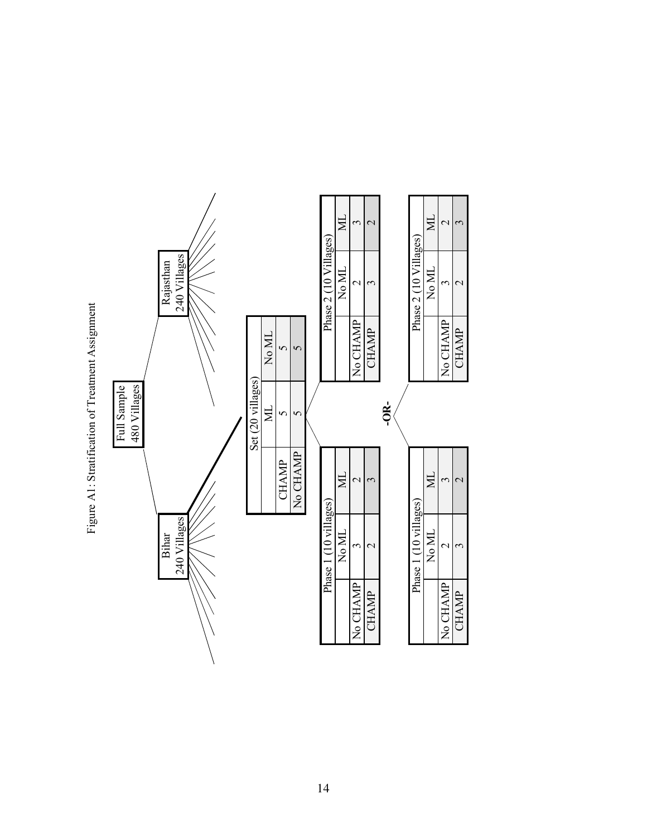<span id="page-13-0"></span>

Figure A1: Stratification of Treatment Assignment Figure A1: Stratification of Treatment Assignment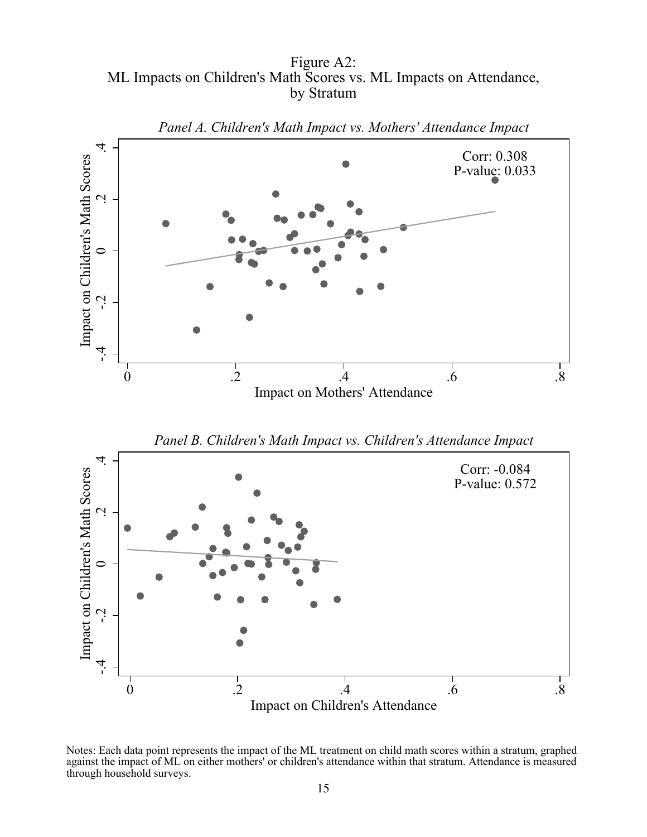Figure A2: ML Impacts on Children's Math Scores vs. ML Impacts on Attendance, by Stratum



Impact on Children's Attendance

Notes: Each data point represents the impact of the ML treatment on child math scores within a stratum, graphed against the impact of ML on either mothers' or children's attendance within that stratum. Attendance is measured through household surveys.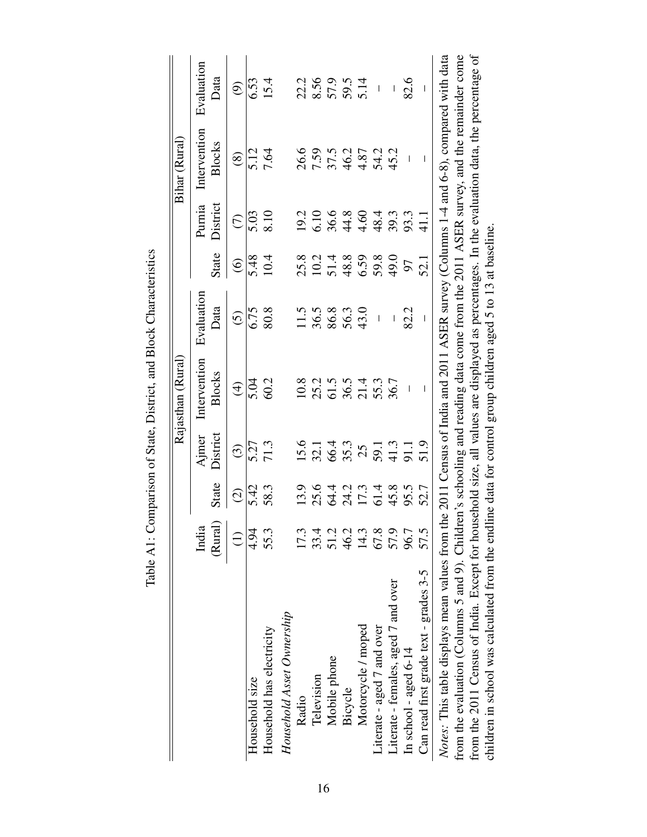|                                                                                                                                              |         |               |                         | Rajasthan (Rural)                                         |                          |                   |               | Bihar (Rural)            |                                |
|----------------------------------------------------------------------------------------------------------------------------------------------|---------|---------------|-------------------------|-----------------------------------------------------------|--------------------------|-------------------|---------------|--------------------------|--------------------------------|
|                                                                                                                                              | India   |               | Ajmer                   | Intervention                                              | Evaluation               |                   | Purnia        | Intervention             | Evaluation                     |
|                                                                                                                                              | (Rural) | State         | District                | Blocks                                                    | Data                     | State             | District      | Blocks                   | Data                           |
|                                                                                                                                              | €       | $\widehat{c}$ | $\widehat{\mathcal{C}}$ | $\bigoplus$                                               | $\widehat{c}$            | $\widehat{\odot}$ | $\widehat{C}$ | $\circledS$              | ම                              |
| Household size                                                                                                                               | 4.94    | 5.42          | 5.27                    | 5.04                                                      | 6.75                     | 5.48              | 5.03          | 5.12                     | 6.53                           |
| Household has electricity                                                                                                                    | 55.3    | 58.3          | 71.3                    | 60.2                                                      | 80.8                     | 10.4              | 8.10          | 7.64                     | 15.4                           |
| Household Asset Ownership                                                                                                                    |         |               |                         |                                                           |                          |                   |               |                          |                                |
| Radio                                                                                                                                        | 17.3    | 13.9          | 15.6                    | 10.8                                                      | 11.5                     | 25.8              | 19.2          | 26.6                     | 22.2                           |
| Television                                                                                                                                   | 33.4    | 25.6          | 32.1                    | 25.2                                                      | 36.5                     | 10.2              | 6.10          | 7.59                     | 8.56                           |
| Mobile phone                                                                                                                                 | 51.2    | 64.4          | 66.4                    | 61.5                                                      | 86.8                     |                   | 36.6          |                          |                                |
| Bicycle                                                                                                                                      | 46.2    | 24.2          | 35.3                    | 36.5                                                      | 56.3                     | 51.4<br>48.8      | 44.8          | 37.5<br>46.2             | 57.9                           |
| Motorcycle / moped                                                                                                                           | 14.3    | 17.3          | 25                      | 21.4                                                      | 43.0                     | 6.59              | 4.60          | 4.87                     | 5.14                           |
| Literate - aged 7 and over                                                                                                                   | 67.8    | 61.4          |                         | 55.3                                                      | $\overline{\phantom{a}}$ | 59.8              | 48.4          |                          | $\begin{array}{c} \end{array}$ |
| Literate - females, aged 7 and over                                                                                                          | 57.9    | 45.8          | $\frac{59.1}{41.3}$     | 36.7                                                      |                          | 49.0              | 39.3          | 54.2<br>45.2             | I                              |
| In school - aged $6-14$                                                                                                                      | 96.7    | 95.5          |                         | $\overline{\phantom{a}}$                                  | 82.2                     | 50                | 93.3          | $\overline{\phantom{a}}$ | 82.6                           |
| Can read first grade text - grades 3-5                                                                                                       | 57.5    | 52.7          | 51.9                    | I                                                         | $\overline{\phantom{a}}$ | 52.1              | 41.1          |                          | $\overline{\phantom{a}}$       |
| Notes: This table displays mean values from the 2011 Census of India and 2011 ASER survey (Columns 1-4 and 6-8), compared with data          |         |               |                         |                                                           |                          |                   |               |                          |                                |
| from the evaluation (Columns 5 and 9). Children's schooling and reading data come from the 2011 ASER survey, and the remainder come          |         |               |                         |                                                           |                          |                   |               |                          |                                |
| from the 2011 Census of India. Except for household size, all values are displayed as percentages. In the evaluation data, the percentage of |         |               |                         |                                                           |                          |                   |               |                          |                                |
| children in school was calculated from the endline                                                                                           |         |               |                         | data for control group children aged 5 to 13 at baseline. |                          |                   |               |                          |                                |

Table A1: Comparison of State, District, and Block Characteristics Table A1: Comparison of State, District, and Block Characteristics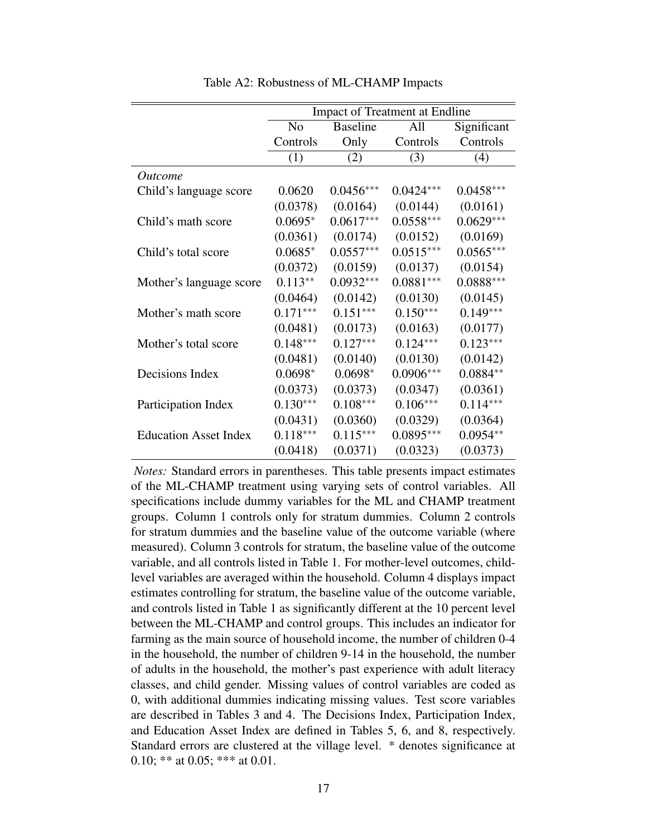|                              |                |                 | <b>Impact of Treatment at Endline</b> |             |
|------------------------------|----------------|-----------------|---------------------------------------|-------------|
|                              | N <sub>0</sub> | <b>Baseline</b> | All                                   | Significant |
|                              | Controls       | Only            | Controls                              | Controls    |
|                              | (1)            | (2)             | (3)                                   | (4)         |
| <i>Outcome</i>               |                |                 |                                       |             |
| Child's language score       | 0.0620         | $0.0456***$     | $0.0424***$                           | $0.0458***$ |
|                              | (0.0378)       | (0.0164)        | (0.0144)                              | (0.0161)    |
| Child's math score           | $0.0695*$      | $0.0617***$     | $0.0558***$                           | $0.0629***$ |
|                              | (0.0361)       | (0.0174)        | (0.0152)                              | (0.0169)    |
| Child's total score          | $0.0685*$      | $0.0557***$     | $0.0515***$                           | $0.0565***$ |
|                              | (0.0372)       | (0.0159)        | (0.0137)                              | (0.0154)    |
| Mother's language score      | $0.113**$      | $0.0932***$     | $0.0881***$                           | $0.0888***$ |
|                              | (0.0464)       | (0.0142)        | (0.0130)                              | (0.0145)    |
| Mother's math score          | $0.171***$     | $0.151***$      | $0.150***$                            | $0.149***$  |
|                              | (0.0481)       | (0.0173)        | (0.0163)                              | (0.0177)    |
| Mother's total score         | $0.148***$     | $0.127***$      | $0.124***$                            | $0.123***$  |
|                              | (0.0481)       | (0.0140)        | (0.0130)                              | (0.0142)    |
| Decisions Index              | $0.0698*$      | $0.0698*$       | $0.0906***$                           | $0.0884**$  |
|                              | (0.0373)       | (0.0373)        | (0.0347)                              | (0.0361)    |
| Participation Index          | $0.130***$     | $0.108***$      | $0.106***$                            | $0.114***$  |
|                              | (0.0431)       | (0.0360)        | (0.0329)                              | (0.0364)    |
| <b>Education Asset Index</b> | $0.118***$     | $0.115***$      | $0.0895***$                           | $0.0954**$  |
|                              | (0.0418)       | (0.0371)        | (0.0323)                              | (0.0373)    |

Table A2: Robustness of ML-CHAMP Impacts

*Notes:* Standard errors in parentheses. This table presents impact estimates of the ML-CHAMP treatment using varying sets of control variables. All specifications include dummy variables for the ML and CHAMP treatment groups. Column 1 controls only for stratum dummies. Column 2 controls for stratum dummies and the baseline value of the outcome variable (where measured). Column 3 controls for stratum, the baseline value of the outcome variable, and all controls listed in Table 1. For mother-level outcomes, childlevel variables are averaged within the household. Column 4 displays impact estimates controlling for stratum, the baseline value of the outcome variable, and controls listed in Table 1 as significantly different at the 10 percent level between the ML-CHAMP and control groups. This includes an indicator for farming as the main source of household income, the number of children 0-4 in the household, the number of children 9-14 in the household, the number of adults in the household, the mother's past experience with adult literacy classes, and child gender. Missing values of control variables are coded as 0, with additional dummies indicating missing values. Test score variables are described in Tables 3 and 4. The Decisions Index, Participation Index, and Education Asset Index are defined in Tables 5, 6, and 8, respectively. Standard errors are clustered at the village level. \* denotes significance at 0.10; \*\* at 0.05; \*\*\* at 0.01.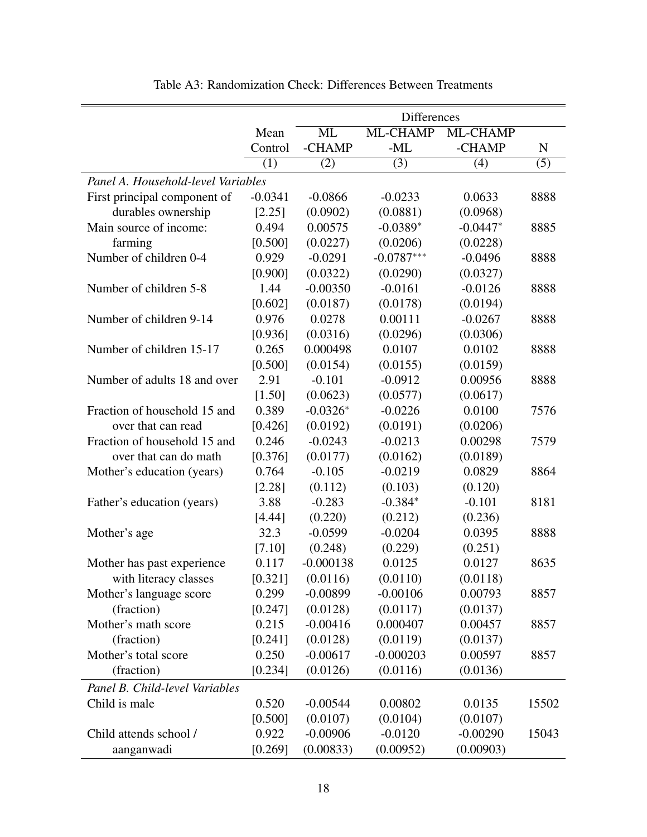|                                    |           |             | <b>Differences</b> |            |       |
|------------------------------------|-----------|-------------|--------------------|------------|-------|
|                                    | Mean      | ML          | ML-CHAMP           | ML-CHAMP   |       |
|                                    | Control   | -CHAMP      | $-ML$              | -CHAMP     | N     |
|                                    | (1)       | (2)         | (3)                | (4)        | (5)   |
| Panel A. Household-level Variables |           |             |                    |            |       |
| First principal component of       | $-0.0341$ | $-0.0866$   | $-0.0233$          | 0.0633     | 8888  |
| durables ownership                 | [2.25]    | (0.0902)    | (0.0881)           | (0.0968)   |       |
| Main source of income:             | 0.494     | 0.00575     | $-0.0389*$         | $-0.0447*$ | 8885  |
| farming                            | [0.500]   | (0.0227)    | (0.0206)           | (0.0228)   |       |
| Number of children 0-4             | 0.929     | $-0.0291$   | $-0.0787***$       | $-0.0496$  | 8888  |
|                                    | [0.900]   | (0.0322)    | (0.0290)           | (0.0327)   |       |
| Number of children 5-8             | 1.44      | $-0.00350$  | $-0.0161$          | $-0.0126$  | 8888  |
|                                    | [0.602]   | (0.0187)    | (0.0178)           | (0.0194)   |       |
| Number of children 9-14            | 0.976     | 0.0278      | 0.00111            | $-0.0267$  | 8888  |
|                                    | [0.936]   | (0.0316)    | (0.0296)           | (0.0306)   |       |
| Number of children 15-17           | 0.265     | 0.000498    | 0.0107             | 0.0102     | 8888  |
|                                    | [0.500]   | (0.0154)    | (0.0155)           | (0.0159)   |       |
| Number of adults 18 and over       | 2.91      | $-0.101$    | $-0.0912$          | 0.00956    | 8888  |
|                                    | [1.50]    | (0.0623)    | (0.0577)           | (0.0617)   |       |
| Fraction of household 15 and       | 0.389     | $-0.0326*$  | $-0.0226$          | 0.0100     | 7576  |
| over that can read                 | [0.426]   | (0.0192)    | (0.0191)           | (0.0206)   |       |
| Fraction of household 15 and       | 0.246     | $-0.0243$   | $-0.0213$          | 0.00298    | 7579  |
| over that can do math              | [0.376]   | (0.0177)    | (0.0162)           | (0.0189)   |       |
| Mother's education (years)         | 0.764     | $-0.105$    | $-0.0219$          | 0.0829     | 8864  |
|                                    | [2.28]    | (0.112)     | (0.103)            | (0.120)    |       |
| Father's education (years)         | 3.88      | $-0.283$    | $-0.384*$          | $-0.101$   | 8181  |
|                                    | [4.44]    | (0.220)     | (0.212)            | (0.236)    |       |
| Mother's age                       | 32.3      | $-0.0599$   | $-0.0204$          | 0.0395     | 8888  |
|                                    | [7.10]    | (0.248)     | (0.229)            | (0.251)    |       |
| Mother has past experience         | 0.117     | $-0.000138$ | 0.0125             | 0.0127     | 8635  |
| with literacy classes              | [0.321]   | (0.0116)    | (0.0110)           | (0.0118)   |       |
| Mother's language score            | 0.299     | $-0.00899$  | $-0.00106$         | 0.00793    | 8857  |
| (fraction)                         | [0.247]   | (0.0128)    | (0.0117)           | (0.0137)   |       |
| Mother's math score                | 0.215     | $-0.00416$  | 0.000407           | 0.00457    | 8857  |
| (fraction)                         | [0.241]   | (0.0128)    | (0.0119)           | (0.0137)   |       |
| Mother's total score               | 0.250     | $-0.00617$  | $-0.000203$        | 0.00597    | 8857  |
| (fraction)                         | [0.234]   | (0.0126)    | (0.0116)           | (0.0136)   |       |
| Panel B. Child-level Variables     |           |             |                    |            |       |
| Child is male                      | 0.520     | $-0.00544$  | 0.00802            | 0.0135     | 15502 |
|                                    | [0.500]   | (0.0107)    | (0.0104)           | (0.0107)   |       |
| Child attends school /             | 0.922     | $-0.00906$  | $-0.0120$          | $-0.00290$ | 15043 |
| aanganwadi                         | [0.269]   | (0.00833)   | (0.00952)          | (0.00903)  |       |

Table A3: Randomization Check: Differences Between Treatments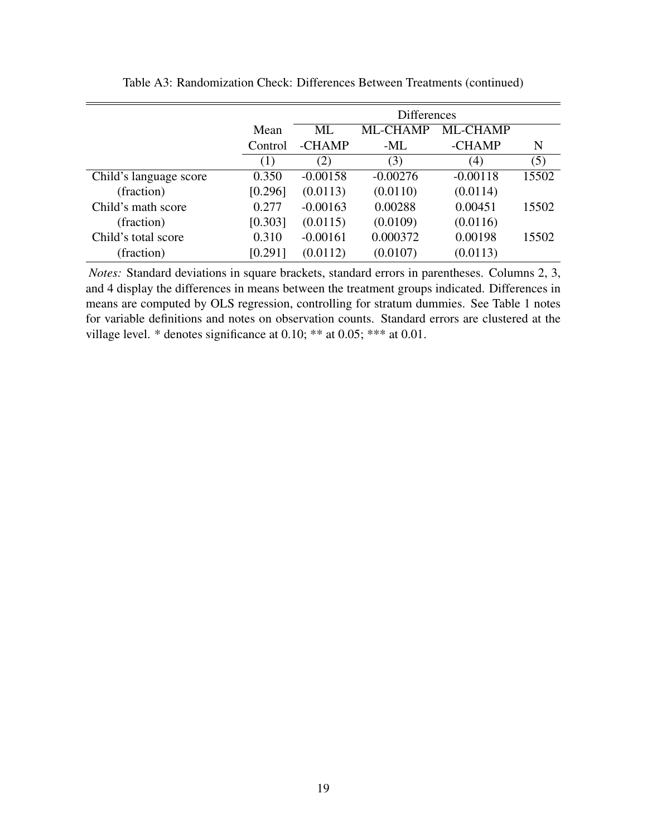|                        |         |            | <b>Differences</b> |                   |       |
|------------------------|---------|------------|--------------------|-------------------|-------|
|                        | Mean    | ML         | ML-CHAMP           | ML-CHAMP          |       |
|                        | Control | -CHAMP     | -ML                | -CHAMP            | N     |
|                        | (1)     | (2)        | (3)                | $\left( 4\right)$ | (5)   |
| Child's language score | 0.350   | $-0.00158$ | $-0.00276$         | $-0.00118$        | 15502 |
| (fraction)             | [0.296] | (0.0113)   | (0.0110)           | (0.0114)          |       |
| Child's math score     | 0.277   | $-0.00163$ | 0.00288            | 0.00451           | 15502 |
| (fraction)             | [0.303] | (0.0115)   | (0.0109)           | (0.0116)          |       |
| Child's total score    | 0.310   | $-0.00161$ | 0.000372           | 0.00198           | 15502 |
| (fraction)             | [0.291] | (0.0112)   | (0.0107)           | (0.0113)          |       |

Table A3: Randomization Check: Differences Between Treatments (continued)

*Notes:* Standard deviations in square brackets, standard errors in parentheses. Columns 2, 3, and 4 display the differences in means between the treatment groups indicated. Differences in means are computed by OLS regression, controlling for stratum dummies. See Table 1 notes for variable definitions and notes on observation counts. Standard errors are clustered at the village level. \* denotes significance at 0.10; \*\* at 0.05; \*\*\* at 0.01.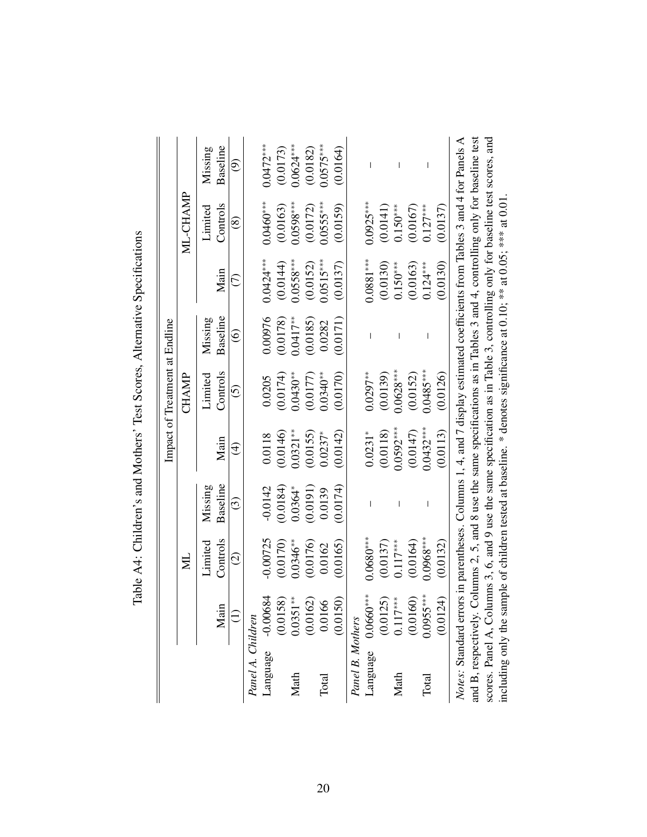|                      |                             |                                                                                                                               |                          |             | Impact of Treatment at Endline |                   |             |               |                          |
|----------------------|-----------------------------|-------------------------------------------------------------------------------------------------------------------------------|--------------------------|-------------|--------------------------------|-------------------|-------------|---------------|--------------------------|
|                      |                             | $\Xi$                                                                                                                         |                          |             | <b>CHAMP</b>                   |                   |             | ML-CHAMP      |                          |
|                      |                             | Limited                                                                                                                       | Missing                  |             | Limited                        | Missing           |             | Limited       | Missing                  |
|                      | Main                        | Controls                                                                                                                      | Baseline                 | Main        | Controls                       | Baseline          | Main        | Controls      | Baseline                 |
|                      |                             | $\odot$                                                                                                                       | $\widehat{\odot}$        | $\bigoplus$ | $\widehat{\odot}$              | $\widehat{\circ}$ | E           | $\circledast$ | ම                        |
| Panel A. Children    |                             |                                                                                                                               |                          |             |                                |                   |             |               |                          |
| Language             | $\overline{84}$<br>$-0.006$ | $-0.00725$                                                                                                                    | $-0.0142$                | 0.0118      | 0.0205                         | 0.00976           | $0.0424***$ | $0.0460***$   | $0.0472***$              |
|                      | $\widetilde{S}$<br>(0.015)  | (0.0170)                                                                                                                      | (0.0184)                 | (0.0146)    | (0.0174)                       | (0.0178)          | (0.0144)    | (0.0163)      | (0.0173)                 |
| Math                 | $*$<br>0.0351               | $0.0346***$                                                                                                                   | $0.0364*$                | $0.0321***$ | $0.0430**$                     | $0.0417**$        | $0.0558***$ | $0.0598***$   | $0.0624***$              |
|                      | (0.0162)                    | (0.0176)                                                                                                                      | (0.0191)                 | (0.0155)    | (0.0177)                       | (0.0185)          | (0.0152)    | (0.0172)      | (0.0182)                 |
| Total                | 0.0166                      | 0.0162                                                                                                                        | 0.0139                   | $0.0237*$   | $0.0340***$                    | 0.0282            | $0.0515***$ | $0.055$ ***   | $0.0575***$              |
|                      | (0.0150)                    | (0.0165)                                                                                                                      | (0.0174)                 | (0.0142)    | (0.0170)                       | (0.0171)          | (0.0137)    | (0.0159)      | (0.0164)                 |
| Panel B. Mothers     |                             |                                                                                                                               |                          |             |                                |                   |             |               |                          |
|                      | Language 0.0660***          | $0.0680***$                                                                                                                   | $\overline{\phantom{a}}$ | $0.0231*$   | $0.0297**$                     | I                 | $0.0881***$ | $0.0925***$   |                          |
|                      | (0.0125)                    | (0.0137)                                                                                                                      |                          | (0.0118)    | (0.0139)                       |                   | (0.0130)    | (0.0141)      |                          |
| Math                 | $0.117***$                  | $0.117***$                                                                                                                    | $\overline{1}$           | $0.0592***$ | $0.0628***$                    |                   | $0.150***$  | $0.150***$    | $\overline{\phantom{a}}$ |
|                      | (0.0160)                    | (0.0164)                                                                                                                      |                          | (0.0147)    | (0.0152)                       |                   | (0.0163)    | (0.0167)      |                          |
| Total                | $0.0955***$                 | $0.0968***$                                                                                                                   |                          | $0.0432***$ | $0.0485***$                    |                   | $0.124***$  | $0.127***$    | $\overline{\phantom{a}}$ |
|                      | (0.0124)                    | (0.0132)                                                                                                                      |                          | (0.0113)    | (0.0126)                       |                   | (0.0130)    | (0.0137)      |                          |
|                      |                             | Notes: Standard errors in parentheses. Columns 1, 4, and 7 display estimated coefficients from Tables 3 and 4 for Panels A    |                          |             |                                |                   |             |               |                          |
| and B, respectively. |                             | Columns 2, 5, and 8 use the same specifications as in Tables 3 and 4, controlling only for baseline test                      |                          |             |                                |                   |             |               |                          |
|                      |                             | scores. Panel A, Columns 3, 6, and 9 use the same specification as in Table 3, controlling only for baseline test scores, and |                          |             |                                |                   |             |               |                          |
|                      |                             | including only the sample of children tested at baseline. * denotes significance at 0.10; *** at 0.05; *** at 0.01            |                          |             |                                |                   |             |               |                          |

Table A4: Children's and Mothers' Test Scores, Alternative Specifications Table A4: Children's and Mothers' Test Scores, Alternative Specifications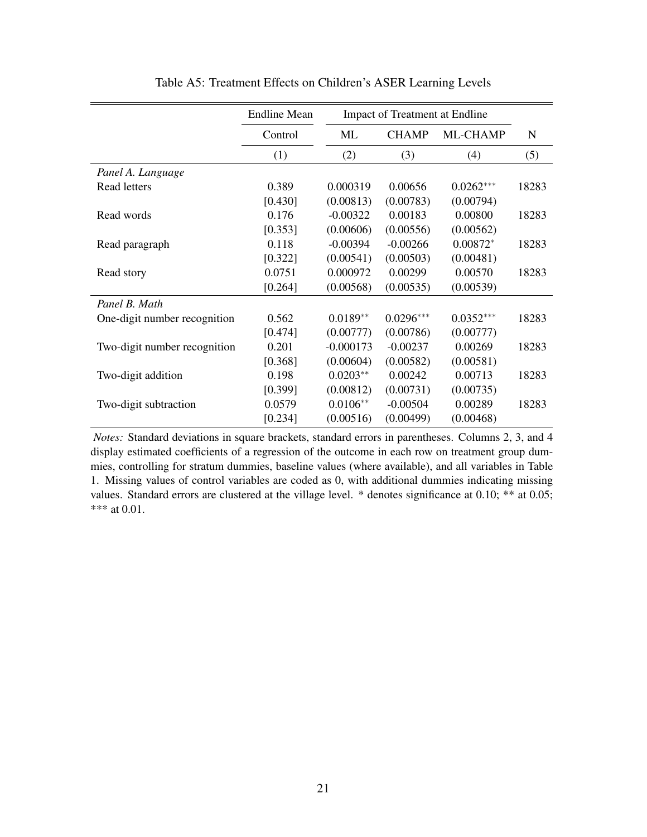|                              | <b>Endline Mean</b> |             | <b>Impact of Treatment at Endline</b> |             |       |
|------------------------------|---------------------|-------------|---------------------------------------|-------------|-------|
|                              |                     |             |                                       |             |       |
|                              | Control             | ML          | <b>CHAMP</b>                          | ML-CHAMP    | N     |
|                              | (1)                 | (2)         | (3)                                   | (4)         | (5)   |
| Panel A. Language            |                     |             |                                       |             |       |
| Read letters                 | 0.389               | 0.000319    | 0.00656                               | $0.0262***$ | 18283 |
|                              | [0.430]             | (0.00813)   | (0.00783)                             | (0.00794)   |       |
| Read words                   | 0.176               | $-0.00322$  | 0.00183                               | 0.00800     | 18283 |
|                              | [0.353]             | (0.00606)   | (0.00556)                             | (0.00562)   |       |
| Read paragraph               | 0.118               | $-0.00394$  | $-0.00266$                            | $0.00872*$  | 18283 |
|                              | [0.322]             | (0.00541)   | (0.00503)                             | (0.00481)   |       |
| Read story                   | 0.0751              | 0.000972    | 0.00299                               | 0.00570     | 18283 |
|                              | [0.264]             | (0.00568)   | (0.00535)                             | (0.00539)   |       |
| Panel B. Math                |                     |             |                                       |             |       |
| One-digit number recognition | 0.562               | $0.0189**$  | $0.0296***$                           | $0.0352***$ | 18283 |
|                              | [0.474]             | (0.00777)   | (0.00786)                             | (0.00777)   |       |
| Two-digit number recognition | 0.201               | $-0.000173$ | $-0.00237$                            | 0.00269     | 18283 |
|                              | [0.368]             | (0.00604)   | (0.00582)                             | (0.00581)   |       |
| Two-digit addition           | 0.198               | $0.0203**$  | 0.00242                               | 0.00713     | 18283 |
|                              | [0.399]             | (0.00812)   | (0.00731)                             | (0.00735)   |       |
| Two-digit subtraction        | 0.0579              | $0.0106**$  | $-0.00504$                            | 0.00289     | 18283 |
|                              | [0.234]             | (0.00516)   | (0.00499)                             | (0.00468)   |       |

Table A5: Treatment Effects on Children's ASER Learning Levels

*Notes:* Standard deviations in square brackets, standard errors in parentheses. Columns 2, 3, and 4 display estimated coefficients of a regression of the outcome in each row on treatment group dummies, controlling for stratum dummies, baseline values (where available), and all variables in Table 1. Missing values of control variables are coded as 0, with additional dummies indicating missing values. Standard errors are clustered at the village level. \* denotes significance at 0.10; \*\* at 0.05; \*\*\* at 0.01.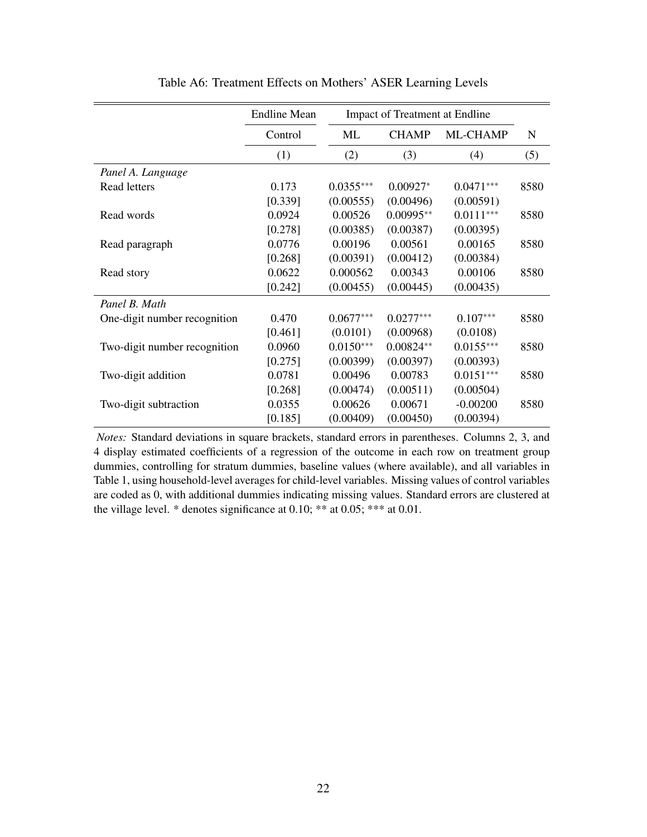|                              | <b>Endline Mean</b> |             | Impact of Treatment at Endline |             |             |
|------------------------------|---------------------|-------------|--------------------------------|-------------|-------------|
|                              | Control             | ML          | <b>CHAMP</b>                   | ML-CHAMP    | $\mathbf N$ |
|                              | (1)                 | (2)         | (3)                            | (4)         | (5)         |
| Panel A. Language            |                     |             |                                |             |             |
| <b>Read letters</b>          | 0.173               | $0.0355***$ | $0.00927*$                     | $0.0471***$ | 8580        |
|                              | [0.339]             | (0.00555)   | (0.00496)                      | (0.00591)   |             |
| Read words                   | 0.0924              | 0.00526     | $0.00995**$                    | $0.0111***$ | 8580        |
|                              | [0.278]             | (0.00385)   | (0.00387)                      | (0.00395)   |             |
| Read paragraph               | 0.0776              | 0.00196     | 0.00561                        | 0.00165     | 8580        |
|                              | [0.268]             | (0.00391)   | (0.00412)                      | (0.00384)   |             |
| Read story                   | 0.0622              | 0.000562    | 0.00343                        | 0.00106     | 8580        |
|                              | [0.242]             | (0.00455)   | (0.00445)                      | (0.00435)   |             |
| Panel B. Math                |                     |             |                                |             |             |
| One-digit number recognition | 0.470               | $0.0677***$ | $0.0277***$                    | $0.107***$  | 8580        |
|                              | [0.461]             | (0.0101)    | (0.00968)                      | (0.0108)    |             |
| Two-digit number recognition | 0.0960              | $0.0150***$ | $0.00824**$                    | $0.0155***$ | 8580        |
|                              | [0.275]             | (0.00399)   | (0.00397)                      | (0.00393)   |             |
| Two-digit addition           | 0.0781              | 0.00496     | 0.00783                        | $0.0151***$ | 8580        |
|                              | [0.268]             | (0.00474)   | (0.00511)                      | (0.00504)   |             |
| Two-digit subtraction        | 0.0355              | 0.00626     | 0.00671                        | $-0.00200$  | 8580        |
|                              | [0.185]             | (0.00409)   | (0.00450)                      | (0.00394)   |             |

Table A6: Treatment Effects on Mothers' ASER Learning Levels

*Notes:* Standard deviations in square brackets, standard errors in parentheses. Columns 2, 3, and 4 display estimated coefficients of a regression of the outcome in each row on treatment group dummies, controlling for stratum dummies, baseline values (where available), and all variables in Table 1, using household-level averages for child-level variables. Missing values of control variables are coded as 0, with additional dummies indicating missing values. Standard errors are clustered at the village level.  $*$  denotes significance at 0.10;  $**$  at 0.05;  $***$  at 0.01.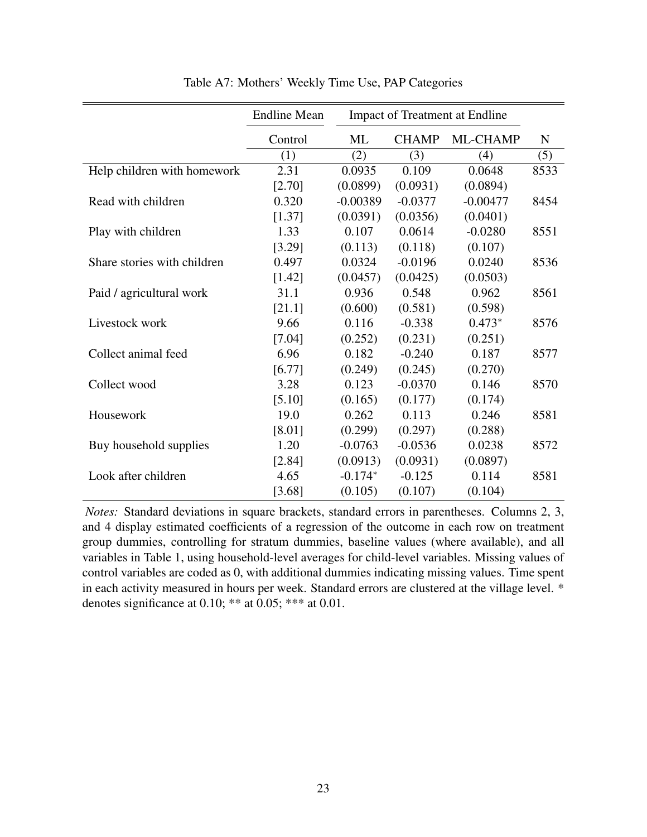|                             | <b>Endline Mean</b> |            |              | <b>Impact of Treatment at Endline</b> |      |
|-----------------------------|---------------------|------------|--------------|---------------------------------------|------|
|                             | Control             | ML         | <b>CHAMP</b> | ML-CHAMP                              | N    |
|                             | (1)                 | (2)        | (3)          | (4)                                   | (5)  |
| Help children with homework | 2.31                | 0.0935     | 0.109        | 0.0648                                | 8533 |
|                             | [2.70]              | (0.0899)   | (0.0931)     | (0.0894)                              |      |
| Read with children          | 0.320               | $-0.00389$ | $-0.0377$    | $-0.00477$                            | 8454 |
|                             | [1.37]              | (0.0391)   | (0.0356)     | (0.0401)                              |      |
| Play with children          | 1.33                | 0.107      | 0.0614       | $-0.0280$                             | 8551 |
|                             | [3.29]              | (0.113)    | (0.118)      | (0.107)                               |      |
| Share stories with children | 0.497               | 0.0324     | $-0.0196$    | 0.0240                                | 8536 |
|                             | [1.42]              | (0.0457)   | (0.0425)     | (0.0503)                              |      |
| Paid / agricultural work    | 31.1                | 0.936      | 0.548        | 0.962                                 | 8561 |
|                             | [21.1]              | (0.600)    | (0.581)      | (0.598)                               |      |
| Livestock work              | 9.66                | 0.116      | $-0.338$     | $0.473*$                              | 8576 |
|                             | [7.04]              | (0.252)    | (0.231)      | (0.251)                               |      |
| Collect animal feed         | 6.96                | 0.182      | $-0.240$     | 0.187                                 | 8577 |
|                             | [6.77]              | (0.249)    | (0.245)      | (0.270)                               |      |
| Collect wood                | 3.28                | 0.123      | $-0.0370$    | 0.146                                 | 8570 |
|                             | [5.10]              | (0.165)    | (0.177)      | (0.174)                               |      |
| Housework                   | 19.0                | 0.262      | 0.113        | 0.246                                 | 8581 |
|                             | [8.01]              | (0.299)    | (0.297)      | (0.288)                               |      |
| Buy household supplies      | 1.20                | $-0.0763$  | $-0.0536$    | 0.0238                                | 8572 |
|                             | [2.84]              | (0.0913)   | (0.0931)     | (0.0897)                              |      |
| Look after children         | 4.65                | $-0.174*$  | $-0.125$     | 0.114                                 | 8581 |
|                             | [3.68]              | (0.105)    | (0.107)      | (0.104)                               |      |

Table A7: Mothers' Weekly Time Use, PAP Categories

*Notes:* Standard deviations in square brackets, standard errors in parentheses. Columns 2, 3, and 4 display estimated coefficients of a regression of the outcome in each row on treatment group dummies, controlling for stratum dummies, baseline values (where available), and all variables in Table 1, using household-level averages for child-level variables. Missing values of control variables are coded as 0, with additional dummies indicating missing values. Time spent in each activity measured in hours per week. Standard errors are clustered at the village level. \* denotes significance at 0.10; \*\* at 0.05; \*\*\* at 0.01.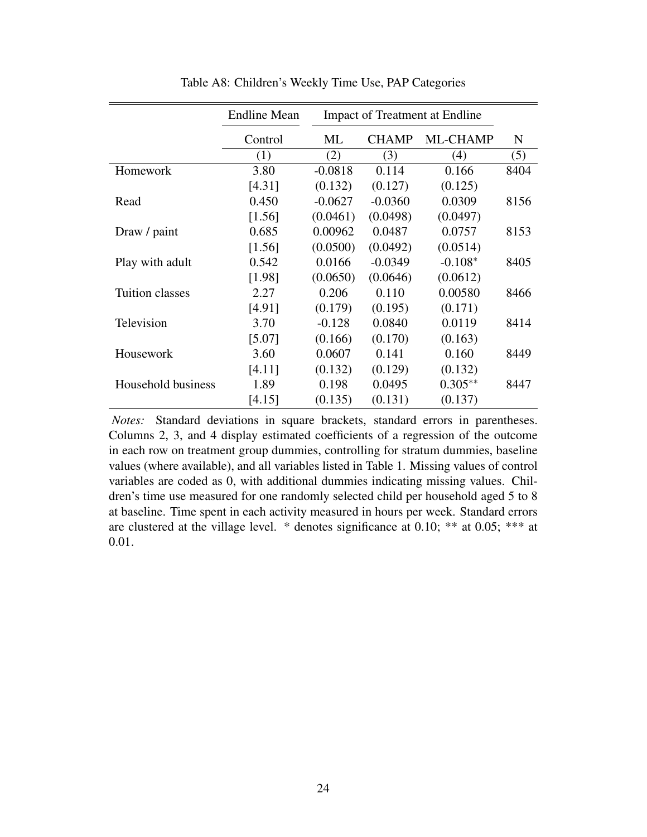|                        | <b>Endline Mean</b> |           |              | <b>Impact of Treatment at Endline</b> |      |
|------------------------|---------------------|-----------|--------------|---------------------------------------|------|
|                        | Control             | ML        | <b>CHAMP</b> | ML-CHAMP                              | N    |
|                        | (1)                 | (2)       | (3)          | (4)                                   | (5)  |
| Homework               | 3.80                | $-0.0818$ | 0.114        | 0.166                                 | 8404 |
|                        | [4.31]              | (0.132)   | (0.127)      | (0.125)                               |      |
| Read                   | 0.450               | $-0.0627$ | $-0.0360$    | 0.0309                                | 8156 |
|                        | [1.56]              | (0.0461)  | (0.0498)     | (0.0497)                              |      |
| Draw / paint           | 0.685               | 0.00962   | 0.0487       | 0.0757                                | 8153 |
|                        | [1.56]              | (0.0500)  | (0.0492)     | (0.0514)                              |      |
| Play with adult        | 0.542               | 0.0166    | $-0.0349$    | $-0.108*$                             | 8405 |
|                        | [1.98]              | (0.0650)  | (0.0646)     | (0.0612)                              |      |
| <b>Tuition classes</b> | 2.27                | 0.206     | 0.110        | 0.00580                               | 8466 |
|                        | [4.91]              | (0.179)   | (0.195)      | (0.171)                               |      |
| Television             | 3.70                | $-0.128$  | 0.0840       | 0.0119                                | 8414 |
|                        | [5.07]              | (0.166)   | (0.170)      | (0.163)                               |      |
| Housework              | 3.60                | 0.0607    | 0.141        | 0.160                                 | 8449 |
|                        | [4.11]              | (0.132)   | (0.129)      | (0.132)                               |      |
| Household business     | 1.89                | 0.198     | 0.0495       | $0.305**$                             | 8447 |
|                        | [4.15]              | (0.135)   | (0.131)      | (0.137)                               |      |

Table A8: Children's Weekly Time Use, PAP Categories

*Notes:* Standard deviations in square brackets, standard errors in parentheses. Columns 2, 3, and 4 display estimated coefficients of a regression of the outcome in each row on treatment group dummies, controlling for stratum dummies, baseline values (where available), and all variables listed in Table 1. Missing values of control variables are coded as 0, with additional dummies indicating missing values. Children's time use measured for one randomly selected child per household aged 5 to 8 at baseline. Time spent in each activity measured in hours per week. Standard errors are clustered at the village level. \* denotes significance at 0.10; \*\* at 0.05; \*\*\* at 0.01.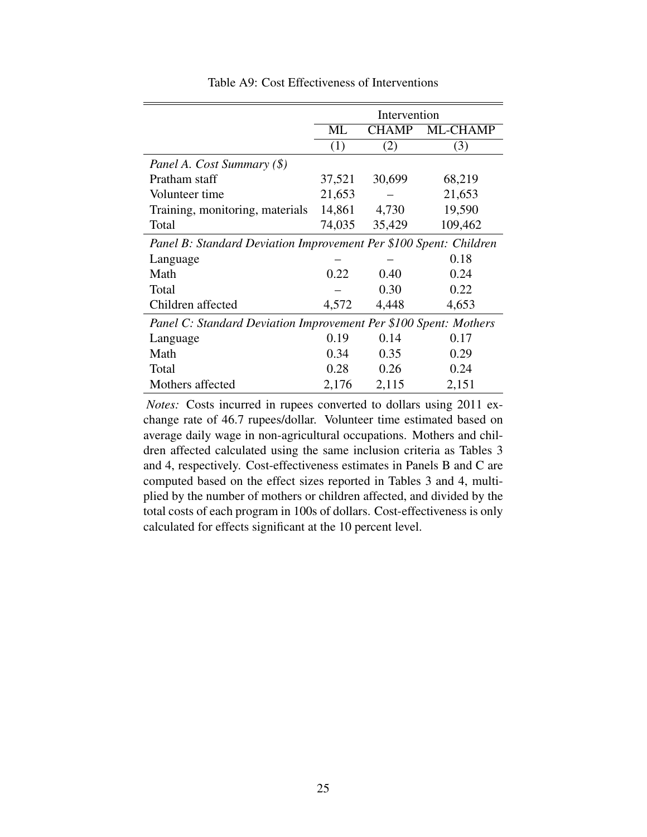|                                                                   |        | Intervention |                 |
|-------------------------------------------------------------------|--------|--------------|-----------------|
|                                                                   | ML     | <b>CHAMP</b> | <b>ML-CHAMP</b> |
|                                                                   | (1)    | (2)          | (3)             |
| Panel A. Cost Summary (\$)                                        |        |              |                 |
| Pratham staff                                                     | 37,521 | 30,699       | 68,219          |
| Volunteer time                                                    | 21,653 |              | 21,653          |
| Training, monitoring, materials                                   | 14,861 | 4,730        | 19,590          |
| Total                                                             | 74,035 | 35,429       | 109,462         |
| Panel B: Standard Deviation Improvement Per \$100 Spent: Children |        |              |                 |
| Language                                                          |        |              | 0.18            |
| Math                                                              | 0.22   | 0.40         | 0.24            |
| Total                                                             |        | 0.30         | 0.22            |
| Children affected                                                 | 4,572  | 4,448        | 4,653           |
| Panel C: Standard Deviation Improvement Per \$100 Spent: Mothers  |        |              |                 |
| Language                                                          | 0.19   | 0.14         | 0.17            |
| Math                                                              | 0.34   | 0.35         | 0.29            |
| Total                                                             | 0.28   | 0.26         | 0.24            |
| Mothers affected                                                  | 2,176  | 2,115        | 2,151           |

Table A9: Cost Effectiveness of Interventions

*Notes:* Costs incurred in rupees converted to dollars using 2011 exchange rate of 46.7 rupees/dollar. Volunteer time estimated based on average daily wage in non-agricultural occupations. Mothers and children affected calculated using the same inclusion criteria as Tables 3 and 4, respectively. Cost-effectiveness estimates in Panels B and C are computed based on the effect sizes reported in Tables 3 and 4, multiplied by the number of mothers or children affected, and divided by the total costs of each program in 100s of dollars. Cost-effectiveness is only calculated for effects significant at the 10 percent level.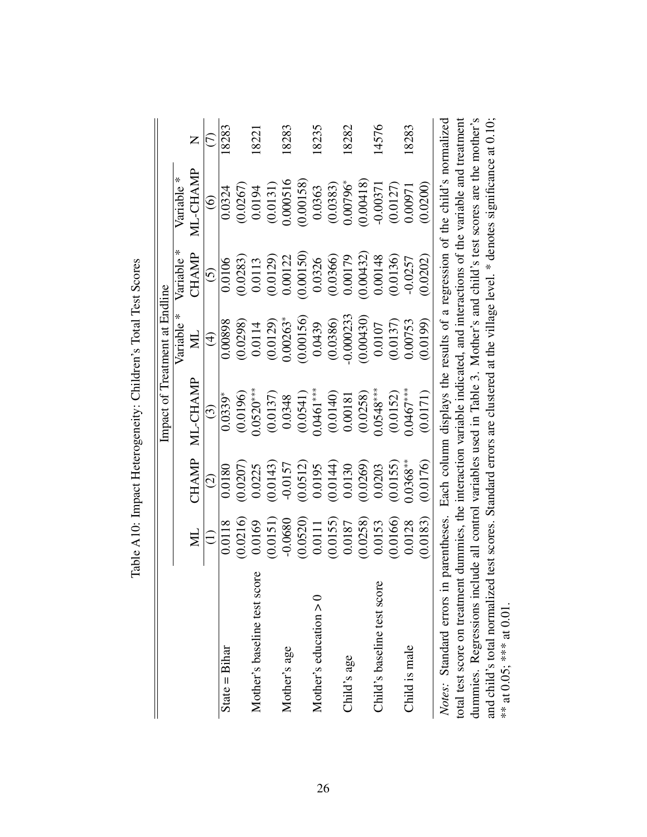|                                                                                                                           |           |                         | Impact of Treatment at Endline |               |               |                                                                                            |       |
|---------------------------------------------------------------------------------------------------------------------------|-----------|-------------------------|--------------------------------|---------------|---------------|--------------------------------------------------------------------------------------------|-------|
|                                                                                                                           |           |                         |                                | X<br>Variable | Variable *    | Variable <sup>*</sup>                                                                      |       |
|                                                                                                                           | $\Xi$     | CHAMP                   | ML-CHAMP                       | $\Xi$         | CHAMP         | ML-CHAMP                                                                                   | Z     |
|                                                                                                                           |           | $\widehat{\mathcal{O}}$ | ි                              | $\bigoplus$   | $\widehat{5}$ | $\widehat{\circ}$                                                                          | E     |
| $State = Bihar$                                                                                                           | 0.0118    | 0.0180                  | $0.0339*$                      | 0.00898       | 0.0106        | 0.0324                                                                                     | 18283 |
|                                                                                                                           | (0.0216)  | (0.0207)                | (0.0196)                       | (0.0298)      | (0.0283)      | 0.0267                                                                                     |       |
| Mother's baseline test score                                                                                              | 0.0169    | 0.0225                  | $0.0520***$                    | 0.0114        | 0.0113        | 0.0194                                                                                     | 18221 |
|                                                                                                                           | (0.0151)  | (0.0143)                | (0.0137)                       | (0.0129)      | (0.0129)      | (0.0131)                                                                                   |       |
| Mother's age                                                                                                              | $-0.0680$ | $-0.0157$               | 0.0348                         | $0.00263*$    | 0.00122       | 0.000516                                                                                   | 18283 |
|                                                                                                                           | (0.0520)  | (0.0512)                | (0.0541)                       | (0.00156)     | (0.00150)     | (0.00158)                                                                                  |       |
| Mother's education $> 0$                                                                                                  | 0.0111    | 0.0195                  | $0.0461***$                    | 0.0439        | 0.0326        | 0.0363                                                                                     | 18235 |
|                                                                                                                           | (0.0155)  | (0.0144)                | (0.0140)                       | (0.0386)      | (0.0366)      | (0.0383)                                                                                   |       |
| Child's age                                                                                                               | 0.0187    | 0.0130                  | 0.00181                        | $-0.000233$   | 0.00179       | $0.00796*$                                                                                 | 18282 |
|                                                                                                                           | (0.0258)  | (0.0269)                | (0.0258)                       | (0.00430)     | 0.00432       | (0.00418)                                                                                  |       |
| Child's baseline test score                                                                                               | 0.0153    | 0.0203                  | $0.0548***$                    | 0.0107        | 0.00148       | $-0.00371$                                                                                 | 14576 |
|                                                                                                                           | 0.0166    | (0.0155)                | (0.0152)                       | (0.0137)      | (0.0136)      | (0.0127)                                                                                   |       |
| Child is male                                                                                                             | 0.0128    | $0.0368**$              | $0.0467***$                    | 0.00753       | $-0.0257$     | 0.00971                                                                                    | 18283 |
|                                                                                                                           | 0.0183    | (0.0176)                | (0.0171)                       | (6610.0)      | (0.0202)      | 0.0200                                                                                     |       |
| Notes: Standard errors                                                                                                    |           |                         |                                |               |               | in parentheses. Each column displays the results of a regression of the child's normalized |       |
| total test score on treatment dummies, the interaction variable indicated, and interactions of the variable and treatment |           |                         |                                |               |               |                                                                                            |       |
| dummies. Regressions include all control variables used in Table 3. Mother's and child's test scores are the mother's     |           |                         |                                |               |               |                                                                                            |       |

and child's total normalized test scores. Standard errors are clustered at the village level. \* denotes significance at 0.10;

and child's total normalized test scores. Standard errors are clustered at the village level. \* denotes significance at 0.10;<br>\*\* at 0.05; \*\*\* at 0.01.

\*\* at  $0.05$ ; \*\*\* at  $0.01$ .

Table A10: Impact Heterogeneity: Children's Total Test Scores Table A10: Impact Heterogeneity: Children's Total Test Scores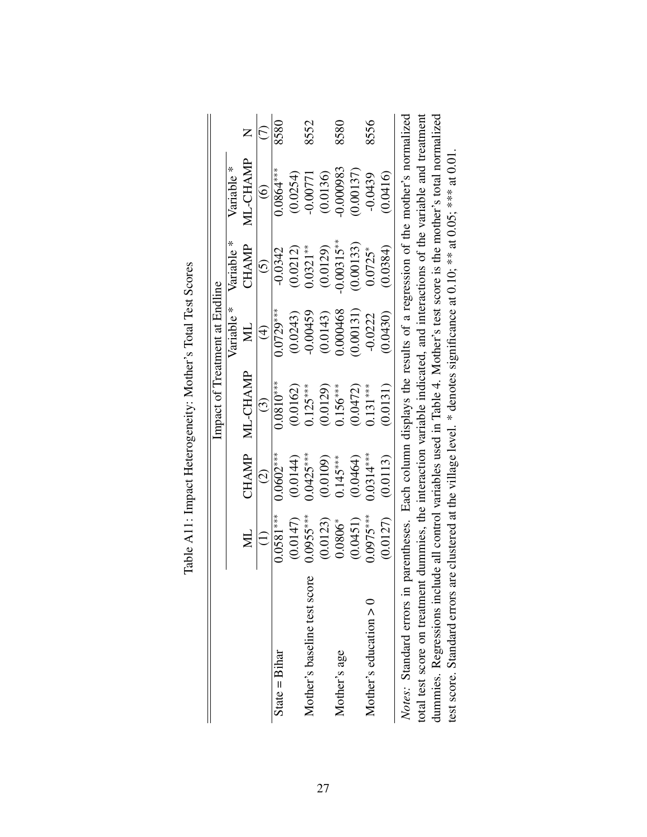|                                                                                                                           |             |               | Impact of Treatment at Endline                                                              |               |                       |                   |      |
|---------------------------------------------------------------------------------------------------------------------------|-------------|---------------|---------------------------------------------------------------------------------------------|---------------|-----------------------|-------------------|------|
|                                                                                                                           |             |               |                                                                                             | Variable *    | Variable <sup>*</sup> | Variable *        |      |
|                                                                                                                           | Ĕ           | <b>CHAMP</b>  | ML-CHAMP                                                                                    | $\Xi$         | CHAMP                 | ML-CHAMP          | Z    |
|                                                                                                                           |             | $\widehat{c}$ | $\widehat{\mathbb{C}}$                                                                      | $\widehat{4}$ | $\widehat{\odot}$     | $\widehat{\circ}$ | C)   |
| State $=$ Bihar                                                                                                           | $0.0581***$ | $0.0602***$   | $0.0810***$                                                                                 | $0.0729***$   | $-0.0342$             | $0.0864***$       | 8580 |
|                                                                                                                           | (0.0147)    | (0.0144)      | (0.0162)                                                                                    | (0.0243)      | (0.0212)              | (0.0254)          |      |
| Mother's baseline test score                                                                                              | $0.0955***$ | $0.0425***$   | $0.125***$                                                                                  | $-0.00459$    | $0.0321**$            | $-0.00771$        | 8552 |
|                                                                                                                           | (0.0123)    | (0.0109)      | (0.0129)                                                                                    | (0.0143)      | (0.0129)              | (0.0136)          |      |
| Mother's age                                                                                                              | $0.0806*$   | $0.145***$    | $0.156***$                                                                                  | 0.000468      | $0.00315***$          | 0.000983          | 8580 |
|                                                                                                                           | (0.0451)    | (0.0464)      | (0.0472)                                                                                    | (0.00131)     | (0.00133)             | (0.00137)         |      |
| Mother's education $> 0$                                                                                                  | $0.0975***$ | $0.0314***$   | $0.131***$                                                                                  | $-0.0222$     | $0.0725*$             | $-0.0439$         | 8556 |
|                                                                                                                           | (0.0127)    | (0.0113)      | (0.0131)                                                                                    | (0.0430)      | (0.0384)              | (0.0416)          |      |
| Notes: Standard errors in                                                                                                 |             |               | parentheses. Each column displays the results of a regression of the mother's normalized    |               |                       |                   |      |
| total test score on treatment dummies, the interaction variable indicated, and interactions of the variable and treatment |             |               |                                                                                             |               |                       |                   |      |
| dummies. Regressions include all control variables used in Table 4. Mother's test score is the mother's total normalized  |             |               |                                                                                             |               |                       |                   |      |
| test score. Standard errors                                                                                               |             |               | are clustered at the village level. * denotes significance at 0.10; ** at 0.05; *** at 0.01 |               |                       |                   |      |

| טט בטו<br>$\tilde{\zeta}$<br>ζ<br>-<br>GC<br>$\frac{1}{2}$<br>ĺ<br>j |  |
|----------------------------------------------------------------------|--|
|                                                                      |  |
| $\overline{T}$ of $\overline{T}$<br>;<br>ļ                           |  |
| mont Hatampapatty<br>.<br>ו<br>ו<br>J<br>4                           |  |
| I<br>$-1$                                                            |  |
| Toble<br>ا                                                           |  |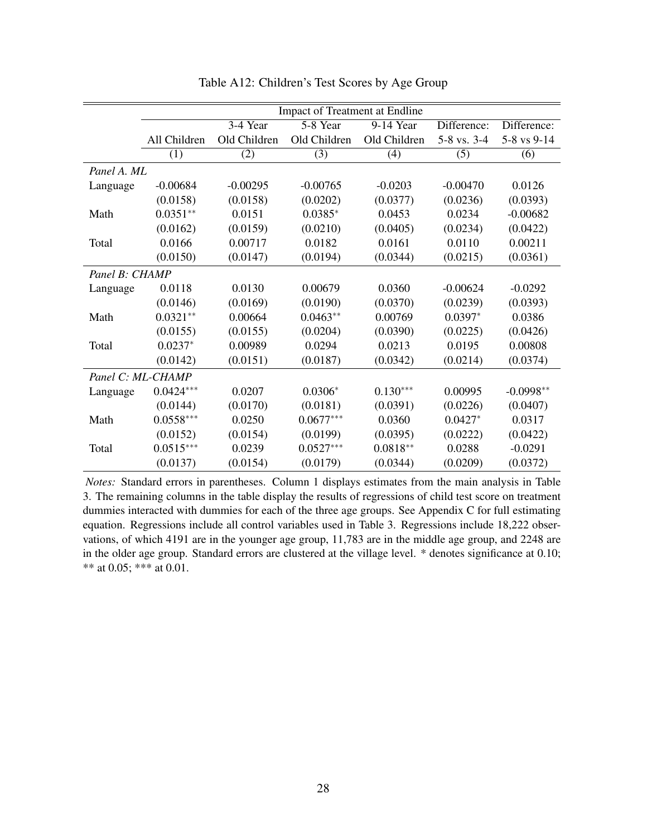|                   |              |              | Impact of Treatment at Endline |              |             |             |
|-------------------|--------------|--------------|--------------------------------|--------------|-------------|-------------|
|                   |              | 3-4 Year     | 5-8 Year                       | 9-14 Year    | Difference: | Difference: |
|                   | All Children | Old Children | Old Children                   | Old Children | 5-8 vs. 3-4 | 5-8 vs 9-14 |
|                   | (1)          | (2)          | (3)                            | (4)          | (5)         | (6)         |
| Panel A. ML       |              |              |                                |              |             |             |
| Language          | $-0.00684$   | $-0.00295$   | $-0.00765$                     | $-0.0203$    | $-0.00470$  | 0.0126      |
|                   | (0.0158)     | (0.0158)     | (0.0202)                       | (0.0377)     | (0.0236)    | (0.0393)    |
| Math              | $0.0351**$   | 0.0151       | $0.0385*$                      | 0.0453       | 0.0234      | $-0.00682$  |
|                   | (0.0162)     | (0.0159)     | (0.0210)                       | (0.0405)     | (0.0234)    | (0.0422)    |
| Total             | 0.0166       | 0.00717      | 0.0182                         | 0.0161       | 0.0110      | 0.00211     |
|                   | (0.0150)     | (0.0147)     | (0.0194)                       | (0.0344)     | (0.0215)    | (0.0361)    |
| Panel B: CHAMP    |              |              |                                |              |             |             |
| Language          | 0.0118       | 0.0130       | 0.00679                        | 0.0360       | $-0.00624$  | $-0.0292$   |
|                   | (0.0146)     | (0.0169)     | (0.0190)                       | (0.0370)     | (0.0239)    | (0.0393)    |
| Math              | $0.0321**$   | 0.00664      | $0.0463**$                     | 0.00769      | $0.0397*$   | 0.0386      |
|                   | (0.0155)     | (0.0155)     | (0.0204)                       | (0.0390)     | (0.0225)    | (0.0426)    |
| Total             | $0.0237*$    | 0.00989      | 0.0294                         | 0.0213       | 0.0195      | 0.00808     |
|                   | (0.0142)     | (0.0151)     | (0.0187)                       | (0.0342)     | (0.0214)    | (0.0374)    |
| Panel C: ML-CHAMP |              |              |                                |              |             |             |
| Language          | $0.0424***$  | 0.0207       | $0.0306*$                      | $0.130***$   | 0.00995     | $-0.0998**$ |
|                   | (0.0144)     | (0.0170)     | (0.0181)                       | (0.0391)     | (0.0226)    | (0.0407)    |
| Math              | $0.0558***$  | 0.0250       | $0.0677***$                    | 0.0360       | $0.0427*$   | 0.0317      |
|                   | (0.0152)     | (0.0154)     | (0.0199)                       | (0.0395)     | (0.0222)    | (0.0422)    |
| Total             | $0.0515***$  | 0.0239       | $0.0527***$                    | $0.0818**$   | 0.0288      | $-0.0291$   |
|                   | (0.0137)     | (0.0154)     | (0.0179)                       | (0.0344)     | (0.0209)    | (0.0372)    |

Table A12: Children's Test Scores by Age Group

*Notes:* Standard errors in parentheses. Column 1 displays estimates from the main analysis in Table 3. The remaining columns in the table display the results of regressions of child test score on treatment dummies interacted with dummies for each of the three age groups. See Appendix C for full estimating equation. Regressions include all control variables used in Table 3. Regressions include 18,222 observations, of which 4191 are in the younger age group, 11,783 are in the middle age group, and 2248 are in the older age group. Standard errors are clustered at the village level. \* denotes significance at 0.10; \*\* at 0.05; \*\*\* at 0.01.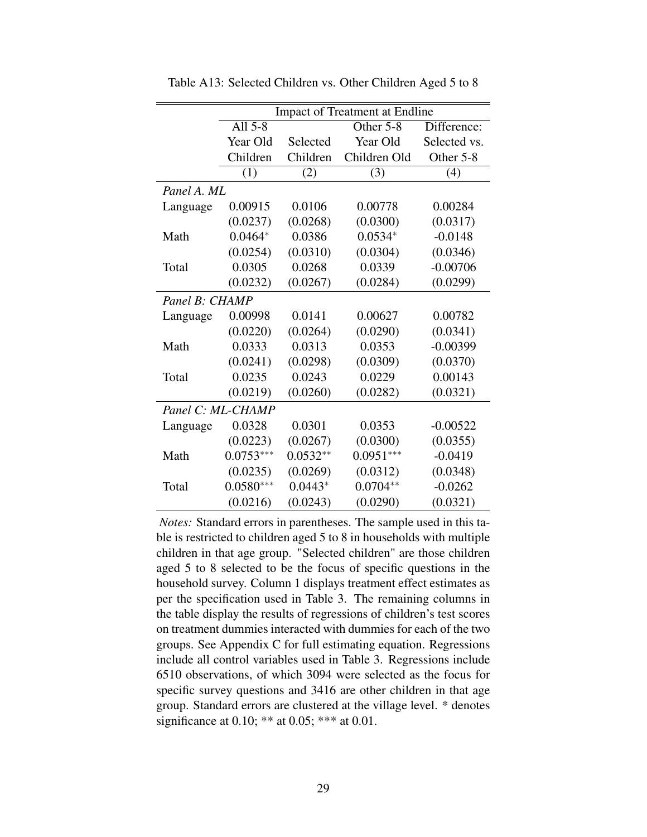|                |                   |            | <b>Impact of Treatment at Endline</b> |              |
|----------------|-------------------|------------|---------------------------------------|--------------|
|                | All $5-8$         |            | Other 5-8                             | Difference:  |
|                | Year Old          | Selected   | Year Old                              | Selected vs. |
|                | Children          | Children   | Children Old                          | Other 5-8    |
|                | (1)               | (2)        | (3)                                   | (4)          |
| Panel A. ML    |                   |            |                                       |              |
| Language       | 0.00915           | 0.0106     | 0.00778                               | 0.00284      |
|                | (0.0237)          | (0.0268)   | (0.0300)                              | (0.0317)     |
| Math           | $0.0464*$         | 0.0386     | $0.0534*$                             | $-0.0148$    |
|                | (0.0254)          | (0.0310)   | (0.0304)                              | (0.0346)     |
| Total          | 0.0305            | 0.0268     | 0.0339                                | $-0.00706$   |
|                | (0.0232)          | (0.0267)   | (0.0284)                              | (0.0299)     |
| Panel B: CHAMP |                   |            |                                       |              |
| Language       | 0.00998           | 0.0141     | 0.00627                               | 0.00782      |
|                | (0.0220)          | (0.0264)   | (0.0290)                              | (0.0341)     |
| Math           | 0.0333            | 0.0313     | 0.0353                                | $-0.00399$   |
|                | (0.0241)          | (0.0298)   | (0.0309)                              | (0.0370)     |
| Total          | 0.0235            | 0.0243     | 0.0229                                | 0.00143      |
|                | (0.0219)          | (0.0260)   | (0.0282)                              | (0.0321)     |
|                | Panel C: ML-CHAMP |            |                                       |              |
| Language       | 0.0328            | 0.0301     | 0.0353                                | $-0.00522$   |
|                | (0.0223)          | (0.0267)   | (0.0300)                              | (0.0355)     |
| Math           | $0.0753***$       | $0.0532**$ | $0.0951***$                           | $-0.0419$    |
|                | (0.0235)          | (0.0269)   | (0.0312)                              | (0.0348)     |
| Total          | $0.0580***$       | $0.0443*$  | $0.0704**$                            | $-0.0262$    |
|                | (0.0216)          | (0.0243)   | (0.0290)                              | (0.0321)     |

Table A13: Selected Children vs. Other Children Aged 5 to 8

*Notes:* Standard errors in parentheses. The sample used in this table is restricted to children aged 5 to 8 in households with multiple children in that age group. "Selected children" are those children aged 5 to 8 selected to be the focus of specific questions in the household survey. Column 1 displays treatment effect estimates as per the specification used in Table 3. The remaining columns in the table display the results of regressions of children's test scores on treatment dummies interacted with dummies for each of the two groups. See Appendix C for full estimating equation. Regressions include all control variables used in Table 3. Regressions include 6510 observations, of which 3094 were selected as the focus for specific survey questions and 3416 are other children in that age group. Standard errors are clustered at the village level. \* denotes significance at 0.10; \*\* at 0.05; \*\*\* at 0.01.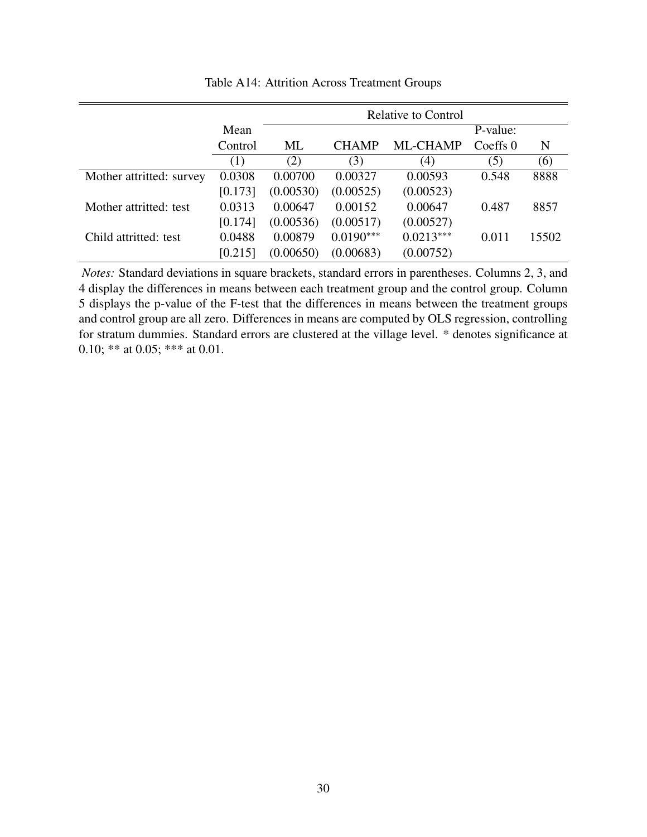|                          |         |           |              | <b>Relative to Control</b> |            |       |
|--------------------------|---------|-----------|--------------|----------------------------|------------|-------|
|                          | Mean    |           |              |                            | P-value:   |       |
|                          | Control | ML        | <b>CHAMP</b> | <b>ML-CHAMP</b>            | Coeffs $0$ | N     |
|                          | (1)     | (2)       | (3)          | (4)                        | (5)        | (6)   |
| Mother attritted: survey | 0.0308  | 0.00700   | 0.00327      | 0.00593                    | 0.548      | 8888  |
|                          | [0.173] | (0.00530) | (0.00525)    | (0.00523)                  |            |       |
| Mother attritted: test   | 0.0313  | 0.00647   | 0.00152      | 0.00647                    | 0.487      | 8857  |
|                          | [0.174] | (0.00536) | (0.00517)    | (0.00527)                  |            |       |
| Child attritted: test    | 0.0488  | 0.00879   | $0.0190***$  | $0.0213***$                | 0.011      | 15502 |
|                          | [0.215] | (0.00650) | (0.00683)    | (0.00752)                  |            |       |

Table A14: Attrition Across Treatment Groups

*Notes:* Standard deviations in square brackets, standard errors in parentheses. Columns 2, 3, and 4 display the differences in means between each treatment group and the control group. Column 5 displays the p-value of the F-test that the differences in means between the treatment groups and control group are all zero. Differences in means are computed by OLS regression, controlling for stratum dummies. Standard errors are clustered at the village level. \* denotes significance at 0.10; \*\* at 0.05; \*\*\* at 0.01.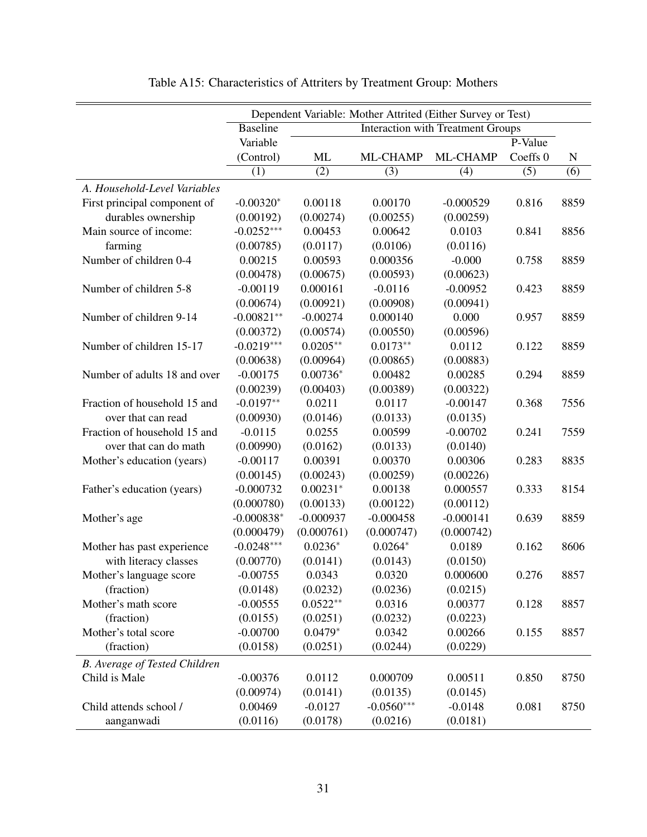|                               |                 |             | Dependent Variable: Mother Attrited (Either Survey or Test) |                                          |          |             |
|-------------------------------|-----------------|-------------|-------------------------------------------------------------|------------------------------------------|----------|-------------|
|                               | <b>Baseline</b> |             |                                                             | <b>Interaction with Treatment Groups</b> |          |             |
|                               | Variable        |             |                                                             |                                          | P-Value  |             |
|                               | (Control)       | ML          | ML-CHAMP                                                    | ML-CHAMP                                 | Coeffs 0 | $\mathbf N$ |
|                               | (1)             | (2)         | (3)                                                         | (4)                                      | (5)      | (6)         |
| A. Household-Level Variables  |                 |             |                                                             |                                          |          |             |
| First principal component of  | $-0.00320*$     | 0.00118     | 0.00170                                                     | $-0.000529$                              | 0.816    | 8859        |
| durables ownership            | (0.00192)       | (0.00274)   | (0.00255)                                                   | (0.00259)                                |          |             |
| Main source of income:        | $-0.0252***$    | 0.00453     | 0.00642                                                     | 0.0103                                   | 0.841    | 8856        |
| farming                       | (0.00785)       | (0.0117)    | (0.0106)                                                    | (0.0116)                                 |          |             |
| Number of children 0-4        | 0.00215         | 0.00593     | 0.000356                                                    | $-0.000$                                 | 0.758    | 8859        |
|                               | (0.00478)       | (0.00675)   | (0.00593)                                                   | (0.00623)                                |          |             |
| Number of children 5-8        | $-0.00119$      | 0.000161    | $-0.0116$                                                   | $-0.00952$                               | 0.423    | 8859        |
|                               | (0.00674)       | (0.00921)   | (0.00908)                                                   | (0.00941)                                |          |             |
| Number of children 9-14       | $-0.00821**$    | $-0.00274$  | 0.000140                                                    | 0.000                                    | 0.957    | 8859        |
|                               | (0.00372)       | (0.00574)   | (0.00550)                                                   | (0.00596)                                |          |             |
| Number of children 15-17      | $-0.0219***$    | $0.0205**$  | $0.0173**$                                                  | 0.0112                                   | 0.122    | 8859        |
|                               | (0.00638)       | (0.00964)   | (0.00865)                                                   | (0.00883)                                |          |             |
| Number of adults 18 and over  | $-0.00175$      | $0.00736*$  | 0.00482                                                     | 0.00285                                  | 0.294    | 8859        |
|                               | (0.00239)       | (0.00403)   | (0.00389)                                                   | (0.00322)                                |          |             |
| Fraction of household 15 and  | $-0.0197**$     | 0.0211      | 0.0117                                                      | $-0.00147$                               | 0.368    | 7556        |
| over that can read            | (0.00930)       | (0.0146)    | (0.0133)                                                    | (0.0135)                                 |          |             |
| Fraction of household 15 and  | $-0.0115$       | 0.0255      | 0.00599                                                     | $-0.00702$                               | 0.241    | 7559        |
| over that can do math         | (0.00990)       | (0.0162)    | (0.0133)                                                    | (0.0140)                                 |          |             |
| Mother's education (years)    | $-0.00117$      | 0.00391     | 0.00370                                                     | 0.00306                                  | 0.283    | 8835        |
|                               | (0.00145)       | (0.00243)   | (0.00259)                                                   | (0.00226)                                |          |             |
| Father's education (years)    | $-0.000732$     | $0.00231*$  | 0.00138                                                     | 0.000557                                 | 0.333    | 8154        |
|                               | (0.000780)      | (0.00133)   | (0.00122)                                                   | (0.00112)                                |          |             |
| Mother's age                  | $-0.000838*$    | $-0.000937$ | $-0.000458$                                                 | $-0.000141$                              | 0.639    | 8859        |
|                               | (0.000479)      | (0.000761)  | (0.000747)                                                  | (0.000742)                               |          |             |
| Mother has past experience    | $-0.0248***$    | $0.0236*$   | $0.0264*$                                                   | 0.0189                                   | 0.162    | 8606        |
| with literacy classes         | (0.00770)       | (0.0141)    | (0.0143)                                                    | (0.0150)                                 |          |             |
| Mother's language score       | $-0.00755$      | 0.0343      | 0.0320                                                      | 0.000600                                 | 0.276    | 8857        |
| (fraction)                    | (0.0148)        | (0.0232)    | (0.0236)                                                    | (0.0215)                                 |          |             |
| Mother's math score           | $-0.00555$      | $0.0522**$  | 0.0316                                                      | 0.00377                                  | 0.128    | 8857        |
| (fraction)                    | (0.0155)        | (0.0251)    | (0.0232)                                                    | (0.0223)                                 |          |             |
| Mother's total score          | $-0.00700$      | $0.0479*$   | 0.0342                                                      | 0.00266                                  | 0.155    | 8857        |
| (fraction)                    | (0.0158)        | (0.0251)    | (0.0244)                                                    | (0.0229)                                 |          |             |
| B. Average of Tested Children |                 |             |                                                             |                                          |          |             |
| Child is Male                 | $-0.00376$      | 0.0112      | 0.000709                                                    | 0.00511                                  | 0.850    | 8750        |
|                               | (0.00974)       | (0.0141)    | (0.0135)                                                    | (0.0145)                                 |          |             |
| Child attends school /        | 0.00469         | $-0.0127$   | $-0.0560***$                                                | $-0.0148$                                | 0.081    | 8750        |
| aanganwadi                    | (0.0116)        | (0.0178)    | (0.0216)                                                    | (0.0181)                                 |          |             |

Table A15: Characteristics of Attriters by Treatment Group: Mothers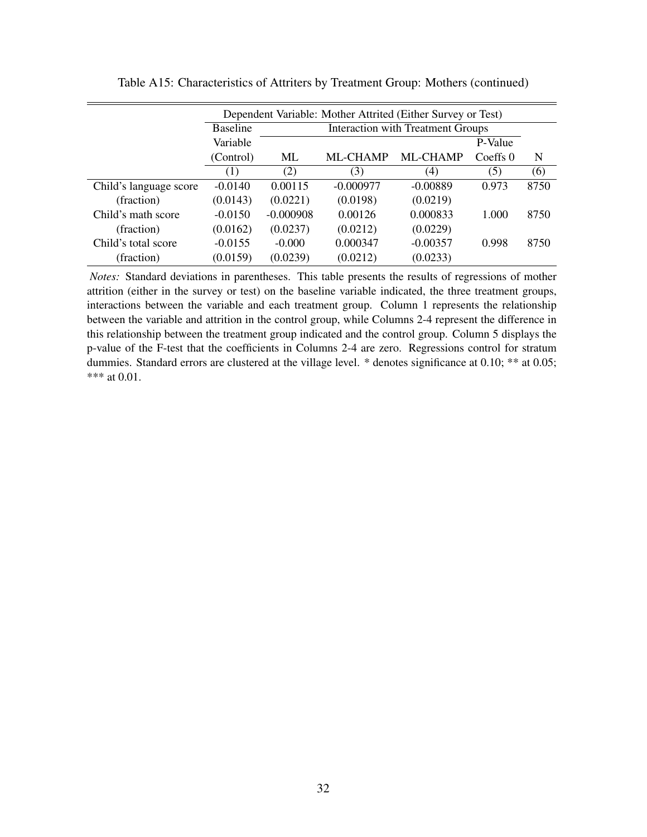|                        |                                                            |             | Dependent Variable: Mother Attrited (Either Survey or Test) |                                          |          |      |
|------------------------|------------------------------------------------------------|-------------|-------------------------------------------------------------|------------------------------------------|----------|------|
|                        | <b>Baseline</b>                                            |             |                                                             | <b>Interaction with Treatment Groups</b> |          |      |
|                        | Variable                                                   |             |                                                             |                                          | P-Value  |      |
|                        | (Control)                                                  | ML          | ML-CHAMP                                                    | ML-CHAMP                                 | Coeffs 0 | N    |
|                        | (1)                                                        | (2)         | (3)                                                         | (4)                                      | (5)      | (6)  |
| Child's language score | 0.00115<br>$-0.0140$<br>$-0.000977$<br>$-0.00889$<br>0.973 |             |                                                             | 8750                                     |          |      |
| (fraction)             | (0.0143)                                                   | (0.0221)    | (0.0198)                                                    | (0.0219)                                 |          |      |
| Child's math score     | $-0.0150$                                                  | $-0.000908$ | 0.00126                                                     | 0.000833                                 | 1.000    | 8750 |
| (fraction)             | (0.0162)                                                   | (0.0237)    | (0.0212)                                                    | (0.0229)                                 |          |      |
| Child's total score    | $-0.0155$                                                  | $-0.000$    | 0.000347                                                    | $-0.00357$                               | 0.998    | 8750 |
| (fraction)             | (0.0159)                                                   | (0.0239)    | (0.0212)                                                    | (0.0233)                                 |          |      |

Table A15: Characteristics of Attriters by Treatment Group: Mothers (continued)

*Notes:* Standard deviations in parentheses. This table presents the results of regressions of mother attrition (either in the survey or test) on the baseline variable indicated, the three treatment groups, interactions between the variable and each treatment group. Column 1 represents the relationship between the variable and attrition in the control group, while Columns 2-4 represent the difference in this relationship between the treatment group indicated and the control group. Column 5 displays the p-value of the F-test that the coefficients in Columns 2-4 are zero. Regressions control for stratum dummies. Standard errors are clustered at the village level. \* denotes significance at 0.10; \*\* at 0.05; \*\*\* at 0.01.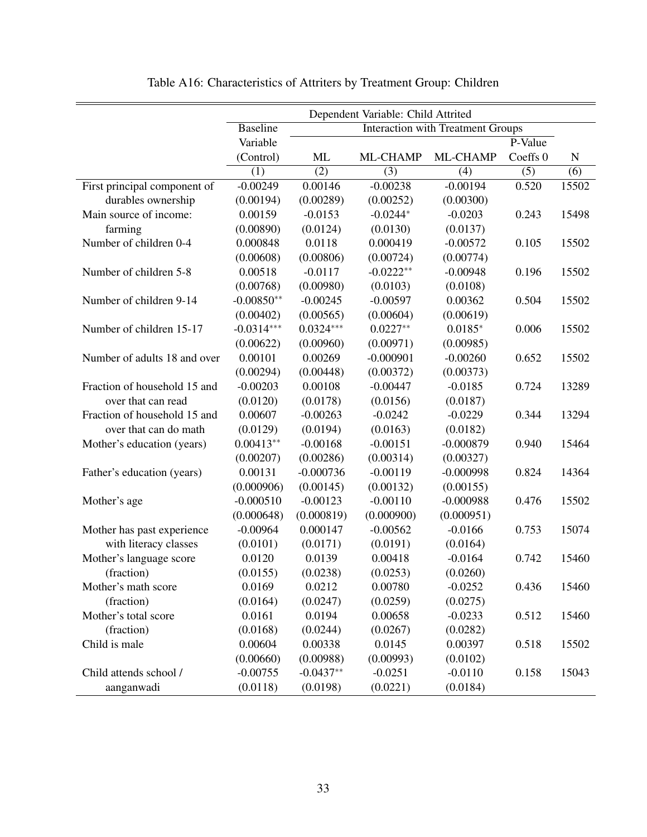|                              |                 |             | Dependent Variable: Child Attrited |                                          |                     |             |
|------------------------------|-----------------|-------------|------------------------------------|------------------------------------------|---------------------|-------------|
|                              | <b>Baseline</b> |             |                                    | <b>Interaction with Treatment Groups</b> |                     |             |
|                              | Variable        |             |                                    |                                          | P-Value             |             |
|                              | (Control)       | ML          | ML-CHAMP                           | ML-CHAMP                                 | Coeffs <sub>0</sub> | $\mathbf N$ |
|                              | (1)             | (2)         | (3)                                | (4)                                      | (5)                 | (6)         |
| First principal component of | $-0.00249$      | 0.00146     | $-0.00238$                         | $-0.00194$                               | 0.520               | 15502       |
| durables ownership           | (0.00194)       | (0.00289)   | (0.00252)                          | (0.00300)                                |                     |             |
| Main source of income:       | 0.00159         | $-0.0153$   | $-0.0244*$                         | $-0.0203$                                | 0.243               | 15498       |
| farming                      | (0.00890)       | (0.0124)    | (0.0130)                           | (0.0137)                                 |                     |             |
| Number of children 0-4       | 0.000848        | 0.0118      | 0.000419                           | $-0.00572$                               | 0.105               | 15502       |
|                              | (0.00608)       | (0.00806)   | (0.00724)                          | (0.00774)                                |                     |             |
| Number of children 5-8       | 0.00518         | $-0.0117$   | $-0.0222**$                        | $-0.00948$                               | 0.196               | 15502       |
|                              | (0.00768)       | (0.00980)   | (0.0103)                           | (0.0108)                                 |                     |             |
| Number of children 9-14      | $-0.00850**$    | $-0.00245$  | $-0.00597$                         | 0.00362                                  | 0.504               | 15502       |
|                              | (0.00402)       | (0.00565)   | (0.00604)                          | (0.00619)                                |                     |             |
| Number of children 15-17     | $-0.0314***$    | $0.0324***$ | $0.0227**$                         | $0.0185*$                                | 0.006               | 15502       |
|                              | (0.00622)       | (0.00960)   | (0.00971)                          | (0.00985)                                |                     |             |
| Number of adults 18 and over | 0.00101         | 0.00269     | $-0.000901$                        | $-0.00260$                               | 0.652               | 15502       |
|                              | (0.00294)       | (0.00448)   | (0.00372)                          | (0.00373)                                |                     |             |
| Fraction of household 15 and | $-0.00203$      | 0.00108     | $-0.00447$                         | $-0.0185$                                | 0.724               | 13289       |
| over that can read           | (0.0120)        | (0.0178)    | (0.0156)                           | (0.0187)                                 |                     |             |
| Fraction of household 15 and | 0.00607         | $-0.00263$  | $-0.0242$                          | $-0.0229$                                | 0.344               | 13294       |
| over that can do math        | (0.0129)        | (0.0194)    | (0.0163)                           | (0.0182)                                 |                     |             |
| Mother's education (years)   | $0.00413**$     | $-0.00168$  | $-0.00151$                         | $-0.000879$                              | 0.940               | 15464       |
|                              | (0.00207)       | (0.00286)   | (0.00314)                          | (0.00327)                                |                     |             |
| Father's education (years)   | 0.00131         | $-0.000736$ | $-0.00119$                         | $-0.000998$                              | 0.824               | 14364       |
|                              | (0.000906)      | (0.00145)   | (0.00132)                          | (0.00155)                                |                     |             |
| Mother's age                 | $-0.000510$     | $-0.00123$  | $-0.00110$                         | $-0.000988$                              | 0.476               | 15502       |
|                              | (0.000648)      | (0.000819)  | (0.000900)                         | (0.000951)                               |                     |             |
| Mother has past experience   | $-0.00964$      | 0.000147    | $-0.00562$                         | $-0.0166$                                | 0.753               | 15074       |
| with literacy classes        | (0.0101)        | (0.0171)    | (0.0191)                           | (0.0164)                                 |                     |             |
| Mother's language score      | 0.0120          | 0.0139      | 0.00418                            | $-0.0164$                                | 0.742               | 15460       |
| (fraction)                   | (0.0155)        | (0.0238)    | (0.0253)                           | (0.0260)                                 |                     |             |
| Mother's math score          | 0.0169          | 0.0212      | 0.00780                            | $-0.0252$                                | 0.436               | 15460       |
| (fraction)                   | (0.0164)        | (0.0247)    | (0.0259)                           | (0.0275)                                 |                     |             |
| Mother's total score         | 0.0161          | 0.0194      | 0.00658                            | $-0.0233$                                | 0.512               | 15460       |
| (fraction)                   | (0.0168)        | (0.0244)    | (0.0267)                           | (0.0282)                                 |                     |             |
| Child is male                | 0.00604         | 0.00338     | 0.0145                             | 0.00397                                  | 0.518               | 15502       |
|                              | (0.00660)       | (0.00988)   | (0.00993)                          | (0.0102)                                 |                     |             |
| Child attends school /       | $-0.00755$      | $-0.0437**$ | $-0.0251$                          | $-0.0110$                                | 0.158               | 15043       |
| aanganwadi                   | (0.0118)        | (0.0198)    | (0.0221)                           | (0.0184)                                 |                     |             |

Table A16: Characteristics of Attriters by Treatment Group: Children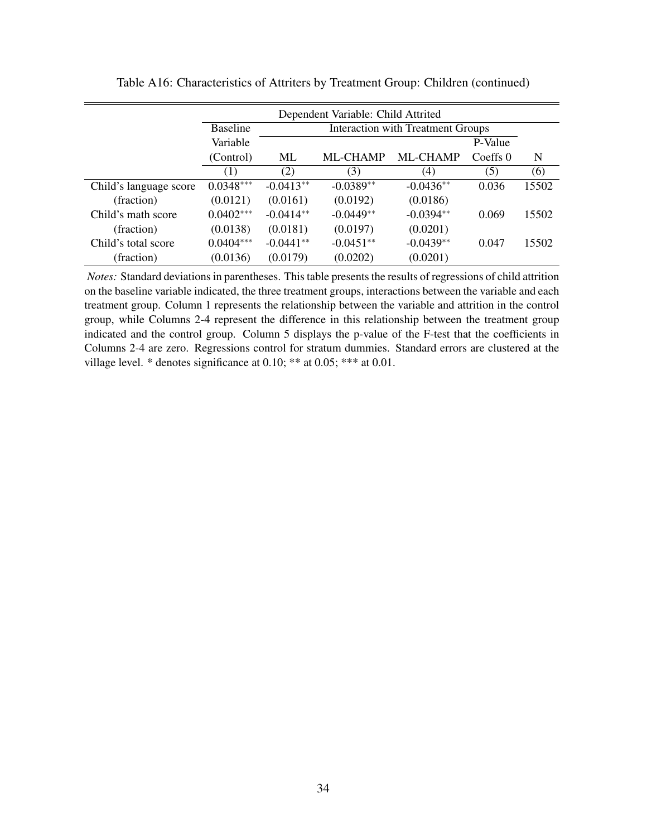|                        |                 |             | Dependent Variable: Child Attrited |                                          |          |       |
|------------------------|-----------------|-------------|------------------------------------|------------------------------------------|----------|-------|
|                        | <b>Baseline</b> |             |                                    | <b>Interaction with Treatment Groups</b> |          |       |
|                        | Variable        |             |                                    |                                          | P-Value  |       |
|                        | (Control)       | ML          | <b>ML-CHAMP</b>                    | <b>ML-CHAMP</b>                          | Coeffs 0 | N     |
|                        | (1)             | (2)         | (3)                                | (4)                                      | (5)      | (6)   |
| Child's language score | $0.0348***$     | $-0.0413**$ | $-0.0389**$                        | $-0.0436**$                              | 0.036    | 15502 |
| (fraction)             | (0.0121)        | (0.0161)    | (0.0192)                           | (0.0186)                                 |          |       |
| Child's math score     | $0.0402***$     | $-0.0414**$ | $-0.0449**$                        | $-0.0394**$                              | 0.069    | 15502 |
| (fraction)             | (0.0138)        | (0.0181)    | (0.0197)                           | (0.0201)                                 |          |       |
| Child's total score    | $0.0404***$     | $-0.0441**$ | $-0.0451**$                        | $-0.0439**$                              | 0.047    | 15502 |
| (fraction)             | (0.0136)        | (0.0179)    | (0.0202)                           | (0.0201)                                 |          |       |

Table A16: Characteristics of Attriters by Treatment Group: Children (continued)

*Notes:* Standard deviations in parentheses. This table presents the results of regressions of child attrition on the baseline variable indicated, the three treatment groups, interactions between the variable and each treatment group. Column 1 represents the relationship between the variable and attrition in the control group, while Columns 2-4 represent the difference in this relationship between the treatment group indicated and the control group. Column 5 displays the p-value of the F-test that the coefficients in Columns 2-4 are zero. Regressions control for stratum dummies. Standard errors are clustered at the village level. \* denotes significance at 0.10; \*\* at 0.05; \*\*\* at 0.01.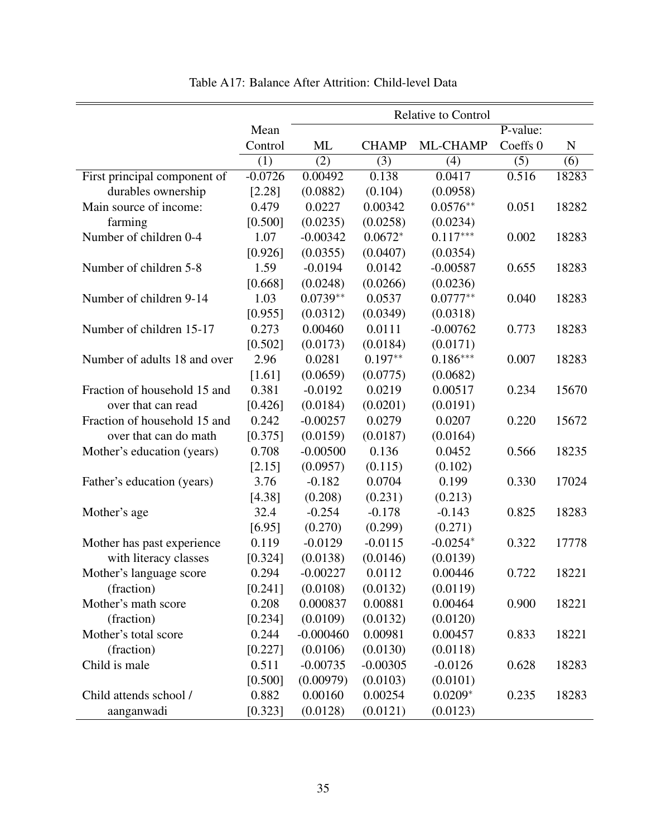|                              |           |             |              | <b>Relative to Control</b> |          |             |
|------------------------------|-----------|-------------|--------------|----------------------------|----------|-------------|
|                              | Mean      |             |              |                            | P-value: |             |
|                              | Control   | ML          | <b>CHAMP</b> | ML-CHAMP                   | Coeffs 0 | $\mathbf N$ |
|                              | (1)       | (2)         | (3)          | (4)                        | (5)      | (6)         |
| First principal component of | $-0.0726$ | 0.00492     | 0.138        | 0.0417                     | 0.516    | 18283       |
| durables ownership           | [2.28]    | (0.0882)    | (0.104)      | (0.0958)                   |          |             |
| Main source of income:       | 0.479     | 0.0227      | 0.00342      | $0.0576**$                 | 0.051    | 18282       |
| farming                      | [0.500]   | (0.0235)    | (0.0258)     | (0.0234)                   |          |             |
| Number of children 0-4       | 1.07      | $-0.00342$  | $0.0672*$    | $0.117***$                 | 0.002    | 18283       |
|                              | [0.926]   | (0.0355)    | (0.0407)     | (0.0354)                   |          |             |
| Number of children 5-8       | 1.59      | $-0.0194$   | 0.0142       | $-0.00587$                 | 0.655    | 18283       |
|                              | [0.668]   | (0.0248)    | (0.0266)     | (0.0236)                   |          |             |
| Number of children 9-14      | 1.03      | $0.0739**$  | 0.0537       | $0.0777**$                 | 0.040    | 18283       |
|                              | [0.955]   | (0.0312)    | (0.0349)     | (0.0318)                   |          |             |
| Number of children 15-17     | 0.273     | 0.00460     | 0.0111       | $-0.00762$                 | 0.773    | 18283       |
|                              | [0.502]   | (0.0173)    | (0.0184)     | (0.0171)                   |          |             |
| Number of adults 18 and over | 2.96      | 0.0281      | $0.197**$    | $0.186***$                 | 0.007    | 18283       |
|                              | [1.61]    | (0.0659)    | (0.0775)     | (0.0682)                   |          |             |
| Fraction of household 15 and | 0.381     | $-0.0192$   | 0.0219       | 0.00517                    | 0.234    | 15670       |
| over that can read           | [0.426]   | (0.0184)    | (0.0201)     | (0.0191)                   |          |             |
| Fraction of household 15 and | 0.242     | $-0.00257$  | 0.0279       | 0.0207                     | 0.220    | 15672       |
| over that can do math        | [0.375]   | (0.0159)    | (0.0187)     | (0.0164)                   |          |             |
| Mother's education (years)   | 0.708     | $-0.00500$  | 0.136        | 0.0452                     | 0.566    | 18235       |
|                              | [2.15]    | (0.0957)    | (0.115)      | (0.102)                    |          |             |
| Father's education (years)   | 3.76      | $-0.182$    | 0.0704       | 0.199                      | 0.330    | 17024       |
|                              | [4.38]    | (0.208)     | (0.231)      | (0.213)                    |          |             |
| Mother's age                 | 32.4      | $-0.254$    | $-0.178$     | $-0.143$                   | 0.825    | 18283       |
|                              | [6.95]    | (0.270)     | (0.299)      | (0.271)                    |          |             |
| Mother has past experience   | 0.119     | $-0.0129$   | $-0.0115$    | $-0.0254*$                 | 0.322    | 17778       |
| with literacy classes        | [0.324]   | (0.0138)    | (0.0146)     | (0.0139)                   |          |             |
| Mother's language score      | 0.294     | $-0.00227$  | 0.0112       | 0.00446                    | 0.722    | 18221       |
| (fraction)                   | [0.241]   | (0.0108)    | (0.0132)     | (0.0119)                   |          |             |
| Mother's math score          | 0.208     | 0.000837    | 0.00881      | 0.00464                    | 0.900    | 18221       |
| (fraction)                   | [0.234]   | (0.0109)    | (0.0132)     | (0.0120)                   |          |             |
| Mother's total score         | 0.244     | $-0.000460$ | 0.00981      | 0.00457                    | 0.833    | 18221       |
| (fraction)                   | [0.227]   | (0.0106)    | (0.0130)     | (0.0118)                   |          |             |
| Child is male                | 0.511     | $-0.00735$  | $-0.00305$   | $-0.0126$                  | 0.628    | 18283       |
|                              | [0.500]   | (0.00979)   | (0.0103)     | (0.0101)                   |          |             |
| Child attends school /       | 0.882     | 0.00160     | 0.00254      | $0.0209*$                  | 0.235    | 18283       |
| aanganwadi                   | [0.323]   | (0.0128)    | (0.0121)     | (0.0123)                   |          |             |

Table A17: Balance After Attrition: Child-level Data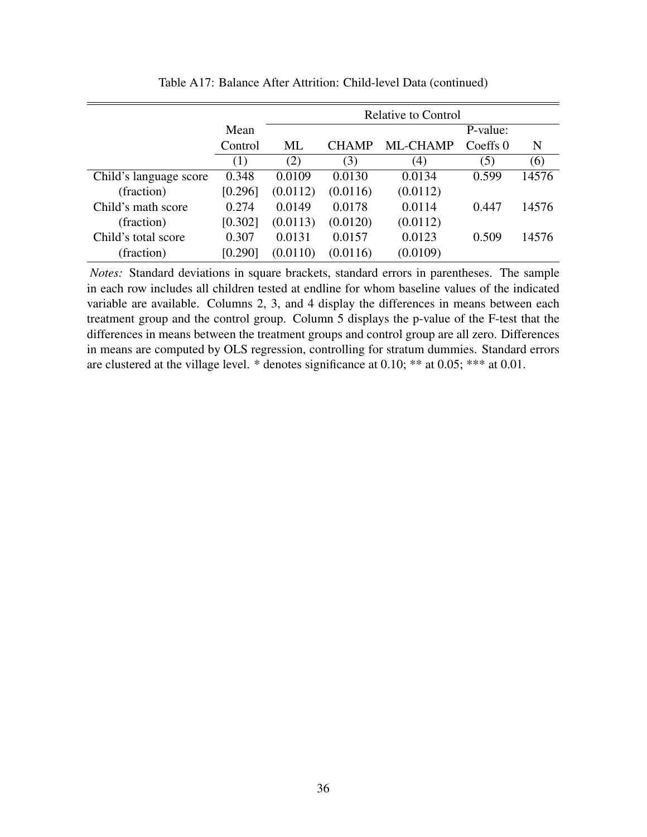|                        |         |          |              | <b>Relative to Control</b> |          |       |
|------------------------|---------|----------|--------------|----------------------------|----------|-------|
|                        | Mean    |          |              |                            | P-value: |       |
|                        | Control | ML       | <b>CHAMP</b> | ML-CHAMP                   | Coeffs 0 | N     |
|                        | (1)     | (2)      | (3)          | (4)                        | (5)      | (6)   |
| Child's language score | 0.348   | 0.0109   | 0.0130       | 0.0134                     | 0.599    | 14576 |
| (fraction)             | [0.296] | (0.0112) | (0.0116)     | (0.0112)                   |          |       |
| Child's math score     | 0.274   | 0.0149   | 0.0178       | 0.0114                     | 0.447    | 14576 |
| (fraction)             | [0.302] | (0.0113) | (0.0120)     | (0.0112)                   |          |       |
| Child's total score    | 0.307   | 0.0131   | 0.0157       | 0.0123                     | 0.509    | 14576 |
| (fraction)             | [0.290] | (0.0110) | (0.0116)     | (0.0109)                   |          |       |

Table A17: Balance After Attrition: Child-level Data (continued)

*Notes:* Standard deviations in square brackets, standard errors in parentheses. The sample in each row includes all children tested at endline for whom baseline values of the indicated variable are available. Columns 2, 3, and 4 display the differences in means between each treatment group and the control group. Column 5 displays the p-value of the F-test that the differences in means between the treatment groups and control group are all zero. Differences in means are computed by OLS regression, controlling for stratum dummies. Standard errors are clustered at the village level. \* denotes significance at 0.10; \*\* at 0.05; \*\*\* at 0.01.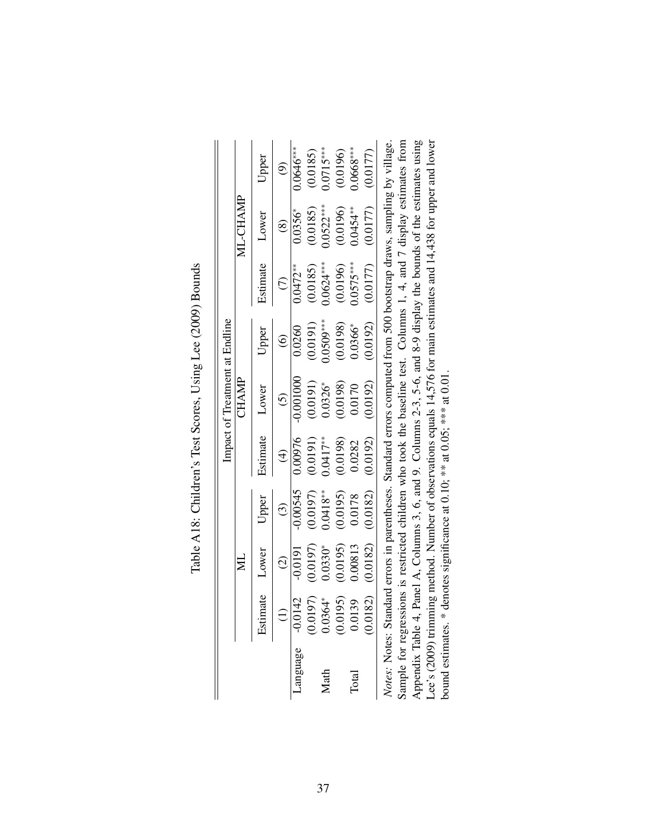|         |                         |               |             |               | Impact of Treatment at Endline                                                                                        |                   |                         |                          |               |
|---------|-------------------------|---------------|-------------|---------------|-----------------------------------------------------------------------------------------------------------------------|-------------------|-------------------------|--------------------------|---------------|
|         |                         | ΣM            |             |               | CHAMP                                                                                                                 |                   |                         | ML-CHAMP                 |               |
|         | Estimate                | Lower         | Upper       | Estimate      | Lower                                                                                                                 | Upper             | Estimate                | Lower                    | Upper         |
|         |                         | $\widehat{c}$ | $\odot$     | $\widehat{f}$ | $\tilde{c}$                                                                                                           | $\widehat{\circ}$ | $\widehat{\in}$         | $\circledast$            | $\widehat{e}$ |
| anguage | $-0.0142$               | $-0.0191$     | $-0.00545$  | 0.00976       | $-0.001000$                                                                                                           | 0.0260            | $0.0472***$             | $0.0356*$                | $0.0646***$   |
|         |                         | (0.0197)      | (0.0197)    | (0.0191)      | (0.0191)                                                                                                              | (0.0191)          | (0.0185)                | (0.0185)                 | (0.0185)      |
| Math    | $(0.0197)$<br>$0.0364*$ | $0.0330*$     | $0.0418***$ | $0.0417**$    | $0.0326*$                                                                                                             | $0.0509***$       | $0.0624***$             | $0.0522***$              | $0.0715***$   |
|         | $(0.0195)$<br>0.0139    | (0.0195)      | (0.0195)    | (0.0198)      | (0.0198)                                                                                                              | (0.0198)          |                         |                          | (0.0196)      |
| Total   |                         | 0.00813       | 0.0178      | 0.0282        | 0.0170                                                                                                                | $0.0366*$         | $(0.0196)$<br>0.0575*** | $(0.0196)$<br>$0.0454**$ | $0.0668***$   |
|         | (0.0182)                | (0.0182)      | (0.0182)    | (0.0192)      | (0.0192)                                                                                                              | (0.0192)          | (0.0177)                | (0.0177)                 | (0.0177)      |
|         |                         |               |             |               | Notes: Notes: Standard errors in parentheses. Standard errors computed from 500 bootstrap draws, sampling by village. |                   |                         |                          |               |
|         |                         |               |             |               | Sample for regressions is restricted children who took the baseline test. Columns 1, 4, and 7 display estimates from  |                   |                         |                          |               |
|         |                         |               |             |               |                                                                                                                       |                   |                         | $\frac{1}{2}$            |               |

| $\sim$                                             |
|----------------------------------------------------|
| $\frac{0}{2}$<br>ŀ<br>しょうこ<br>J<br>I<br>I<br>I     |
| $\sim$ 0.40 $\sim$ 1.40 $\sim$<br>)<br>!<br>l<br>I |
| -<br>-<br>-<br>-<br>l                              |
| I<br>ı<br>l                                        |

 $\overline{a}$  $\mathbf{E}$ Appendix Table 4, Panel A, Columns 3, 6, and 9. Columns 2-3, 5-6, and 8-9 display the bounds of the estimates using Lee's (2009) trimming method. Number of observations equals 14,576 for main estimates and 14,438 for upper and lower Sample for regressions is restricted children who took the baseline test. Columns 1, 4, and 7 display estimates from Appendix Table 4, Panel A, Columns 3, 6, and 9. Columns 2-3, 5-6, and 8-9 display the bounds of the estimates using Lee's (2009) trimming method. Number of observations equals 14,576 for main estimates and 14,438 for upper and lower *Notes:* Notes: Standard errors in parentheses. Standard errors computed from 500 bootstrap draws, sampling by village. bound estimates. \* denotes significance at 0.10; \*\* at 0.05; \*\*\* at 0.01. bound estimates. \* denotes significance at 0.10; \*\* at 0.05; \*\*\* at 0.01.  $\vert \ge$  $\mathbf{S}^{\mathbf{a}}$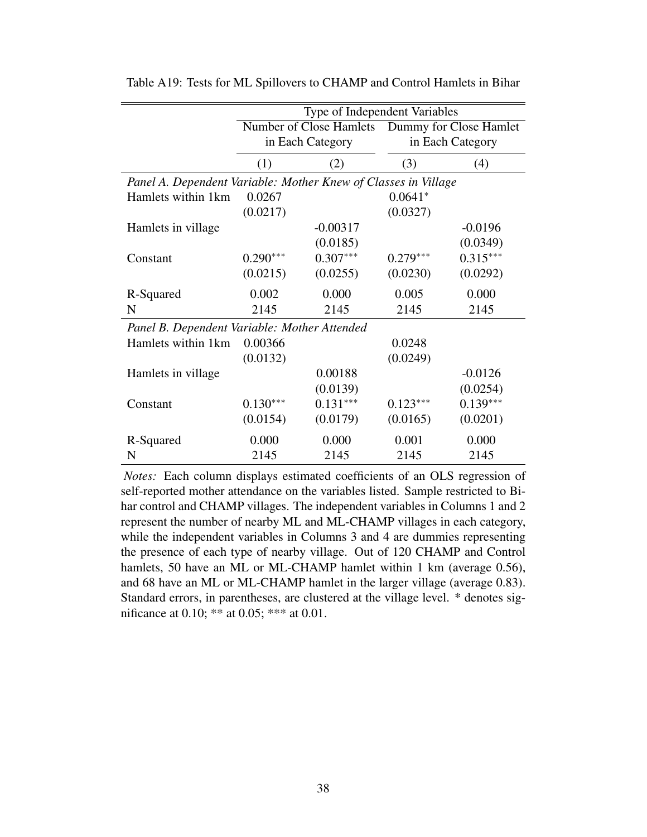|                                                                | Type of Independent Variables |            |                                                |            |  |  |  |
|----------------------------------------------------------------|-------------------------------|------------|------------------------------------------------|------------|--|--|--|
|                                                                |                               |            | Number of Close Hamlets Dummy for Close Hamlet |            |  |  |  |
|                                                                | in Each Category              |            | in Each Category                               |            |  |  |  |
|                                                                | (1)<br>(2)                    |            | (3)                                            | (4)        |  |  |  |
| Panel A. Dependent Variable: Mother Knew of Classes in Village |                               |            |                                                |            |  |  |  |
| Hamlets within 1km                                             | 0.0267                        | $0.0641*$  |                                                |            |  |  |  |
|                                                                | (0.0217)                      |            | (0.0327)                                       |            |  |  |  |
| Hamlets in village                                             |                               | $-0.00317$ |                                                | $-0.0196$  |  |  |  |
|                                                                |                               | (0.0185)   |                                                | (0.0349)   |  |  |  |
| Constant                                                       | $0.290***$                    | $0.307***$ | $0.279***$                                     | $0.315***$ |  |  |  |
|                                                                | (0.0215)                      | (0.0255)   | (0.0230)                                       | (0.0292)   |  |  |  |
| R-Squared                                                      | 0.002                         | 0.000      | 0.005                                          | 0.000      |  |  |  |
| N                                                              | 2145                          | 2145       | 2145                                           | 2145       |  |  |  |
| Panel B. Dependent Variable: Mother Attended                   |                               |            |                                                |            |  |  |  |
| Hamlets within 1km                                             | 0.00366                       |            | 0.0248                                         |            |  |  |  |
|                                                                | (0.0132)                      |            | (0.0249)                                       |            |  |  |  |
| Hamlets in village                                             |                               | 0.00188    |                                                | $-0.0126$  |  |  |  |
|                                                                |                               | (0.0139)   |                                                | (0.0254)   |  |  |  |
| Constant                                                       | $0.130***$                    | $0.131***$ | $0.123***$                                     | $0.139***$ |  |  |  |
|                                                                | (0.0154)                      | (0.0179)   | (0.0165)                                       | (0.0201)   |  |  |  |
| R-Squared                                                      | 0.000                         | 0.000      | 0.001                                          | 0.000      |  |  |  |
| N                                                              | 2145                          | 2145       | 2145                                           | 2145       |  |  |  |

Table A19: Tests for ML Spillovers to CHAMP and Control Hamlets in Bihar

*Notes:* Each column displays estimated coefficients of an OLS regression of self-reported mother attendance on the variables listed. Sample restricted to Bihar control and CHAMP villages. The independent variables in Columns 1 and 2 represent the number of nearby ML and ML-CHAMP villages in each category, while the independent variables in Columns 3 and 4 are dummies representing the presence of each type of nearby village. Out of 120 CHAMP and Control hamlets, 50 have an ML or ML-CHAMP hamlet within 1 km (average 0.56), and 68 have an ML or ML-CHAMP hamlet in the larger village (average 0.83). Standard errors, in parentheses, are clustered at the village level. \* denotes significance at 0.10; \*\* at 0.05; \*\*\* at 0.01.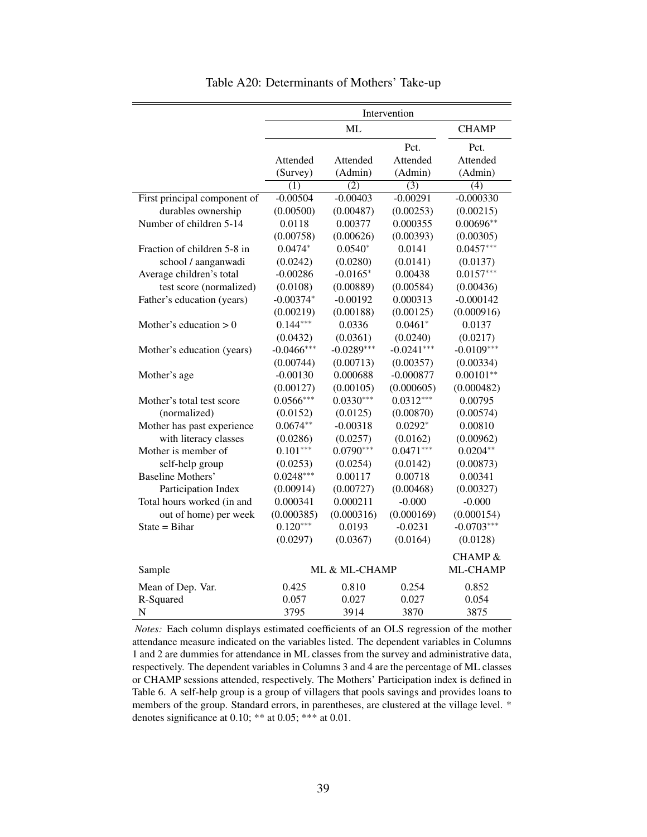|                              | Intervention         |                     |                             |                                |  |  |
|------------------------------|----------------------|---------------------|-----------------------------|--------------------------------|--|--|
|                              |                      | <b>CHAMP</b>        |                             |                                |  |  |
|                              | Attended<br>(Survey) | Attended<br>(Admin) | Pct.<br>Attended<br>(Admin) | Pct.<br>Attended<br>(Admin)    |  |  |
|                              | $\overline{(1)}$     | $\overline{(2)}$    | $\overline{(3)}$            | $\overline{(4)}$               |  |  |
| First principal component of | $-0.00504$           | $-0.00403$          | $-0.00291$                  | $-0.000330$                    |  |  |
| durables ownership           | (0.00500)            | (0.00487)           | (0.00253)                   | (0.00215)                      |  |  |
| Number of children 5-14      | 0.0118               | 0.00377             | 0.000355                    | $0.00696**$                    |  |  |
|                              | (0.00758)            | (0.00626)           | (0.00393)                   | (0.00305)                      |  |  |
| Fraction of children 5-8 in  | $0.0474*$            | $0.0540*$           | 0.0141                      | $0.0457***$                    |  |  |
| school / aanganwadi          | (0.0242)             | (0.0280)            | (0.0141)                    | (0.0137)                       |  |  |
| Average children's total     | $-0.00286$           | $-0.0165*$          | 0.00438                     | $0.0157***$                    |  |  |
| test score (normalized)      | (0.0108)             | (0.00889)           | (0.00584)                   | (0.00436)                      |  |  |
| Father's education (years)   | $-0.00374*$          | $-0.00192$          | 0.000313                    | $-0.000142$                    |  |  |
|                              | (0.00219)            | (0.00188)           | (0.00125)                   | (0.000916)                     |  |  |
| Mother's education $> 0$     | $0.144***$           | 0.0336              | $0.0461*$                   | 0.0137                         |  |  |
|                              | (0.0432)             | (0.0361)            | (0.0240)                    | (0.0217)                       |  |  |
| Mother's education (years)   | $-0.0466***$         | $-0.0289***$        | $-0.0241***$                | $-0.0109***$                   |  |  |
|                              | (0.00744)            | (0.00713)           | (0.00357)                   | (0.00334)                      |  |  |
| Mother's age                 | $-0.00130$           | 0.000688            | $-0.000877$                 | $0.00101**$                    |  |  |
|                              | (0.00127)            | (0.00105)           | (0.000605)                  | (0.000482)                     |  |  |
| Mother's total test score    | $0.0566***$          | $0.0330***$         | $0.0312***$                 | 0.00795                        |  |  |
| (normalized)                 | (0.0152)             | (0.0125)            | (0.00870)                   | (0.00574)                      |  |  |
| Mother has past experience   | $0.0674**$           | $-0.00318$          | $0.0292*$                   | 0.00810                        |  |  |
| with literacy classes        | (0.0286)             | (0.0257)            | (0.0162)                    | (0.00962)                      |  |  |
| Mother is member of          | $0.101***$           | $0.0790***$         | $0.0471***$                 | $0.0204**$                     |  |  |
| self-help group              | (0.0253)             | (0.0254)            | (0.0142)                    | (0.00873)                      |  |  |
| <b>Baseline Mothers'</b>     | $0.0248***$          | 0.00117             | 0.00718                     | 0.00341                        |  |  |
| Participation Index          | (0.00914)            | (0.00727)           | (0.00468)                   | (0.00327)                      |  |  |
| Total hours worked (in and   | 0.000341             | 0.000211            | $-0.000$                    | $-0.000$                       |  |  |
| out of home) per week        | (0.000385)           | (0.000316)          | (0.000169)                  | (0.000154)                     |  |  |
| $State = Bihar$              | $0.120***$           | 0.0193              | $-0.0231$                   | $-0.0703***$                   |  |  |
|                              | (0.0297)             | (0.0367)            | (0.0164)                    | (0.0128)                       |  |  |
| Sample                       |                      | ML & ML-CHAMP       |                             | <b>CHAMP &amp;</b><br>ML-CHAMP |  |  |
|                              |                      |                     |                             |                                |  |  |
| Mean of Dep. Var.            | 0.425                | 0.810               | 0.254                       | 0.852                          |  |  |
| R-Squared                    | 0.057                | 0.027               | 0.027                       | 0.054                          |  |  |
| N                            | 3795                 | 3914                | 3870                        | 3875                           |  |  |

Table A20: Determinants of Mothers' Take-up

*Notes:* Each column displays estimated coefficients of an OLS regression of the mother attendance measure indicated on the variables listed. The dependent variables in Columns 1 and 2 are dummies for attendance in ML classes from the survey and administrative data, respectively. The dependent variables in Columns 3 and 4 are the percentage of ML classes or CHAMP sessions attended, respectively. The Mothers' Participation index is defined in Table 6. A self-help group is a group of villagers that pools savings and provides loans to members of the group. Standard errors, in parentheses, are clustered at the village level. \* denotes significance at 0.10; \*\* at 0.05; \*\*\* at 0.01.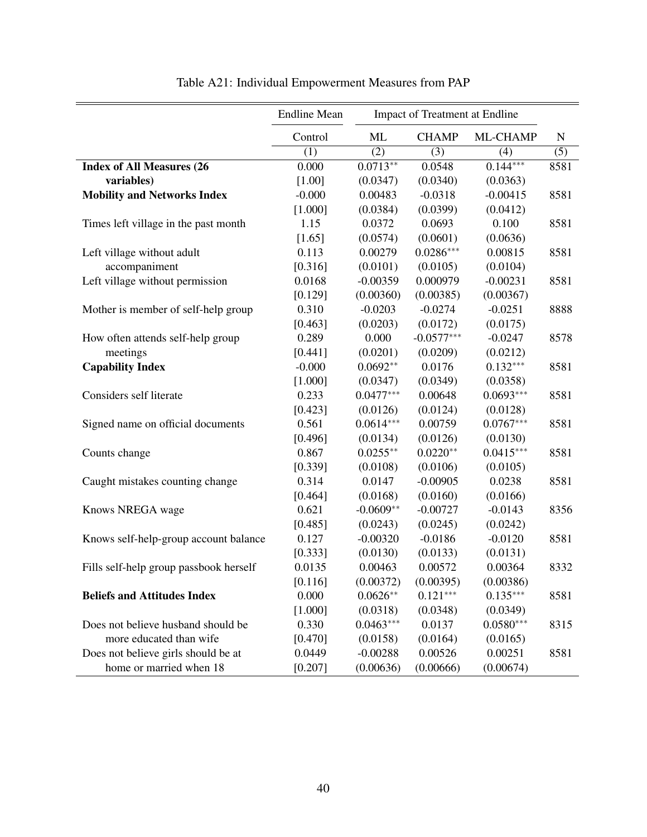|                                        | <b>Endline Mean</b> | Impact of Treatment at Endline |              |             |             |
|----------------------------------------|---------------------|--------------------------------|--------------|-------------|-------------|
|                                        | Control             | ML                             | <b>CHAMP</b> | ML-CHAMP    | $\mathbf N$ |
|                                        | (1)                 | (2)                            | (3)          | (4)         | (5)         |
| <b>Index of All Measures (26)</b>      | 0.000               | $0.0713**$                     | 0.0548       | $0.144***$  | 8581        |
| variables)                             | [1.00]              | (0.0347)                       | (0.0340)     | (0.0363)    |             |
| <b>Mobility and Networks Index</b>     | $-0.000$            | 0.00483                        | $-0.0318$    | $-0.00415$  | 8581        |
|                                        | [1.000]             | (0.0384)                       | (0.0399)     | (0.0412)    |             |
| Times left village in the past month   | 1.15                | 0.0372                         | 0.0693       | 0.100       | 8581        |
|                                        | [1.65]              | (0.0574)                       | (0.0601)     | (0.0636)    |             |
| Left village without adult             | 0.113               | 0.00279                        | $0.0286***$  | 0.00815     | 8581        |
| accompaniment                          | [0.316]             | (0.0101)                       | (0.0105)     | (0.0104)    |             |
| Left village without permission        | 0.0168              | $-0.00359$                     | 0.000979     | $-0.00231$  | 8581        |
|                                        | [0.129]             | (0.00360)                      | (0.00385)    | (0.00367)   |             |
| Mother is member of self-help group    | 0.310               | $-0.0203$                      | $-0.0274$    | $-0.0251$   | 8888        |
|                                        | [0.463]             | (0.0203)                       | (0.0172)     | (0.0175)    |             |
| How often attends self-help group      | 0.289               | 0.000                          | $-0.0577***$ | $-0.0247$   | 8578        |
| meetings                               | [0.441]             | (0.0201)                       | (0.0209)     | (0.0212)    |             |
| <b>Capability Index</b>                | $-0.000$            | $0.0692**$                     | 0.0176       | $0.132***$  | 8581        |
|                                        | [1.000]             | (0.0347)                       | (0.0349)     | (0.0358)    |             |
| Considers self literate                | 0.233               | $0.0477***$                    | 0.00648      | $0.0693***$ | 8581        |
|                                        | [0.423]             | (0.0126)                       | (0.0124)     | (0.0128)    |             |
| Signed name on official documents      | 0.561               | $0.0614***$                    | 0.00759      | $0.0767***$ | 8581        |
|                                        | [0.496]             | (0.0134)                       | (0.0126)     | (0.0130)    |             |
| Counts change                          | 0.867               | $0.0255**$                     | $0.0220**$   | $0.0415***$ | 8581        |
|                                        | [0.339]             | (0.0108)                       | (0.0106)     | (0.0105)    |             |
| Caught mistakes counting change        | 0.314               | 0.0147                         | $-0.00905$   | 0.0238      | 8581        |
|                                        | [0.464]             | (0.0168)                       | (0.0160)     | (0.0166)    |             |
| Knows NREGA wage                       | 0.621               | $-0.0609**$                    | $-0.00727$   | $-0.0143$   | 8356        |
|                                        | [0.485]             | (0.0243)                       | (0.0245)     | (0.0242)    |             |
| Knows self-help-group account balance  | 0.127               | $-0.00320$                     | $-0.0186$    | $-0.0120$   | 8581        |
|                                        | [0.333]             | (0.0130)                       | (0.0133)     | (0.0131)    |             |
| Fills self-help group passbook herself | 0.0135              | 0.00463                        | 0.00572      | 0.00364     | 8332        |
|                                        | [0.116]             | (0.00372)                      | (0.00395)    | (0.00386)   |             |
| <b>Beliefs and Attitudes Index</b>     | 0.000               | $0.0626**$                     | $0.121***$   | $0.135***$  | 8581        |
|                                        | [1.000]             | (0.0318)                       | (0.0348)     | (0.0349)    |             |
| Does not believe husband should be     | 0.330               | $0.0463***$                    | 0.0137       | $0.0580***$ | 8315        |
| more educated than wife                | [0.470]             | (0.0158)                       | (0.0164)     | (0.0165)    |             |
| Does not believe girls should be at    | 0.0449              | $-0.00288$                     | 0.00526      | 0.00251     | 8581        |
| home or married when 18                | [0.207]             | (0.00636)                      | (0.00666)    | (0.00674)   |             |

Table A21: Individual Empowerment Measures from PAP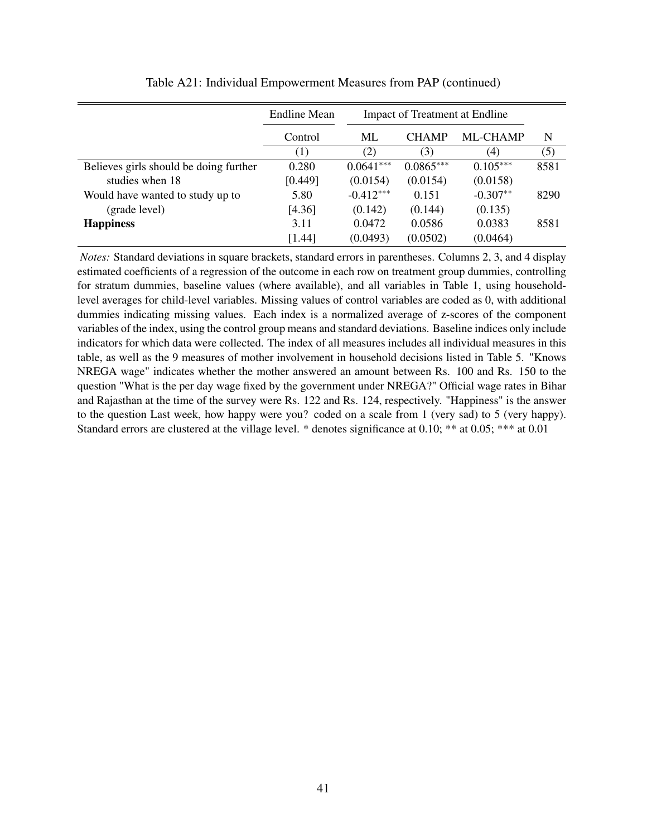|                                        | Endline Mean | <b>Impact of Treatment at Endline</b> |              |            |      |
|----------------------------------------|--------------|---------------------------------------|--------------|------------|------|
|                                        | Control      | ML                                    | <b>CHAMP</b> | ML-CHAMP   | N    |
|                                        | (1)          | (2)                                   | (3)          | (4)        | (5)  |
| Believes girls should be doing further | 0.280        | $0.0641***$                           | $0.0865***$  | $0.105***$ | 8581 |
| studies when 18                        | [0.449]      | (0.0154)                              | (0.0154)     | (0.0158)   |      |
| Would have wanted to study up to       | 5.80         | $-0.412***$                           | 0.151        | $-0.307**$ | 8290 |
| (grade level)                          | [4.36]       | (0.142)                               | (0.144)      | (0.135)    |      |
| <b>Happiness</b>                       | 3.11         | 0.0472                                | 0.0586       | 0.0383     | 8581 |
|                                        | [1.44]       | (0.0493)                              | (0.0502)     | (0.0464)   |      |

Table A21: Individual Empowerment Measures from PAP (continued)

*Notes:* Standard deviations in square brackets, standard errors in parentheses. Columns 2, 3, and 4 display estimated coefficients of a regression of the outcome in each row on treatment group dummies, controlling for stratum dummies, baseline values (where available), and all variables in Table 1, using householdlevel averages for child-level variables. Missing values of control variables are coded as 0, with additional dummies indicating missing values. Each index is a normalized average of z-scores of the component variables of the index, using the control group means and standard deviations. Baseline indices only include indicators for which data were collected. The index of all measures includes all individual measures in this table, as well as the 9 measures of mother involvement in household decisions listed in Table 5. "Knows NREGA wage" indicates whether the mother answered an amount between Rs. 100 and Rs. 150 to the question "What is the per day wage fixed by the government under NREGA?" Official wage rates in Bihar and Rajasthan at the time of the survey were Rs. 122 and Rs. 124, respectively. "Happiness" is the answer to the question Last week, how happy were you? coded on a scale from 1 (very sad) to 5 (very happy). Standard errors are clustered at the village level. \* denotes significance at 0.10; \*\* at 0.05; \*\*\* at 0.01